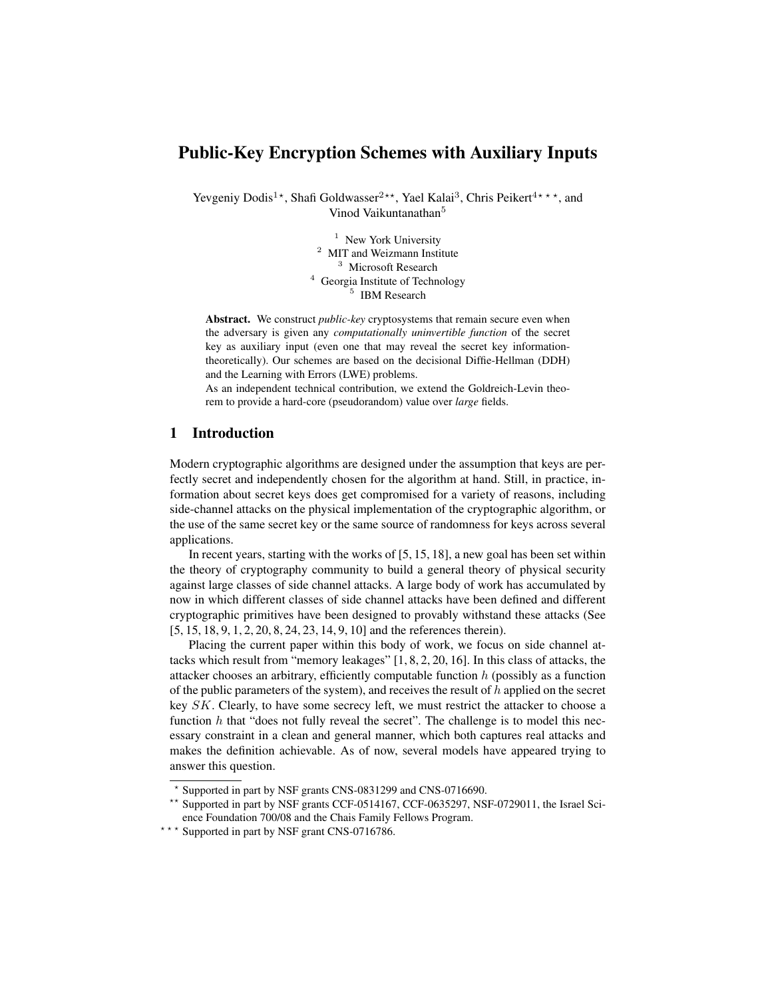# Public-Key Encryption Schemes with Auxiliary Inputs

Yevgeniy Dodis<sup>1</sup>\*, Shafi Goldwasser<sup>2\*\*</sup>, Yael Kalai<sup>3</sup>, Chris Peikert<sup>4\*\*\*</sup>, and Vinod Vaikuntanathan<sup>5</sup>

> <sup>1</sup> New York University <sup>2</sup> MIT and Weizmann Institute <sup>3</sup> Microsoft Research <sup>4</sup> Georgia Institute of Technology 5 IBM Research

Abstract. We construct *public-key* cryptosystems that remain secure even when the adversary is given any *computationally uninvertible function* of the secret key as auxiliary input (even one that may reveal the secret key informationtheoretically). Our schemes are based on the decisional Diffie-Hellman (DDH) and the Learning with Errors (LWE) problems.

As an independent technical contribution, we extend the Goldreich-Levin theorem to provide a hard-core (pseudorandom) value over *large* fields.

# 1 Introduction

Modern cryptographic algorithms are designed under the assumption that keys are perfectly secret and independently chosen for the algorithm at hand. Still, in practice, information about secret keys does get compromised for a variety of reasons, including side-channel attacks on the physical implementation of the cryptographic algorithm, or the use of the same secret key or the same source of randomness for keys across several applications.

In recent years, starting with the works of [5, 15, 18], a new goal has been set within the theory of cryptography community to build a general theory of physical security against large classes of side channel attacks. A large body of work has accumulated by now in which different classes of side channel attacks have been defined and different cryptographic primitives have been designed to provably withstand these attacks (See [5, 15, 18, 9, 1, 2, 20, 8, 24, 23, 14, 9, 10] and the references therein).

Placing the current paper within this body of work, we focus on side channel attacks which result from "memory leakages" [1, 8, 2, 20, 16]. In this class of attacks, the attacker chooses an arbitrary, efficiently computable function  $h$  (possibly as a function of the public parameters of the system), and receives the result of  $h$  applied on the secret key SK. Clearly, to have some secrecy left, we must restrict the attacker to choose a function  $h$  that "does not fully reveal the secret". The challenge is to model this necessary constraint in a clean and general manner, which both captures real attacks and makes the definition achievable. As of now, several models have appeared trying to answer this question.

<sup>?</sup> Supported in part by NSF grants CNS-0831299 and CNS-0716690.

<sup>\*\*</sup> Supported in part by NSF grants CCF-0514167, CCF-0635297, NSF-0729011, the Israel Science Foundation 700/08 and the Chais Family Fellows Program.

<sup>\*\*\*</sup> Supported in part by NSF grant CNS-0716786.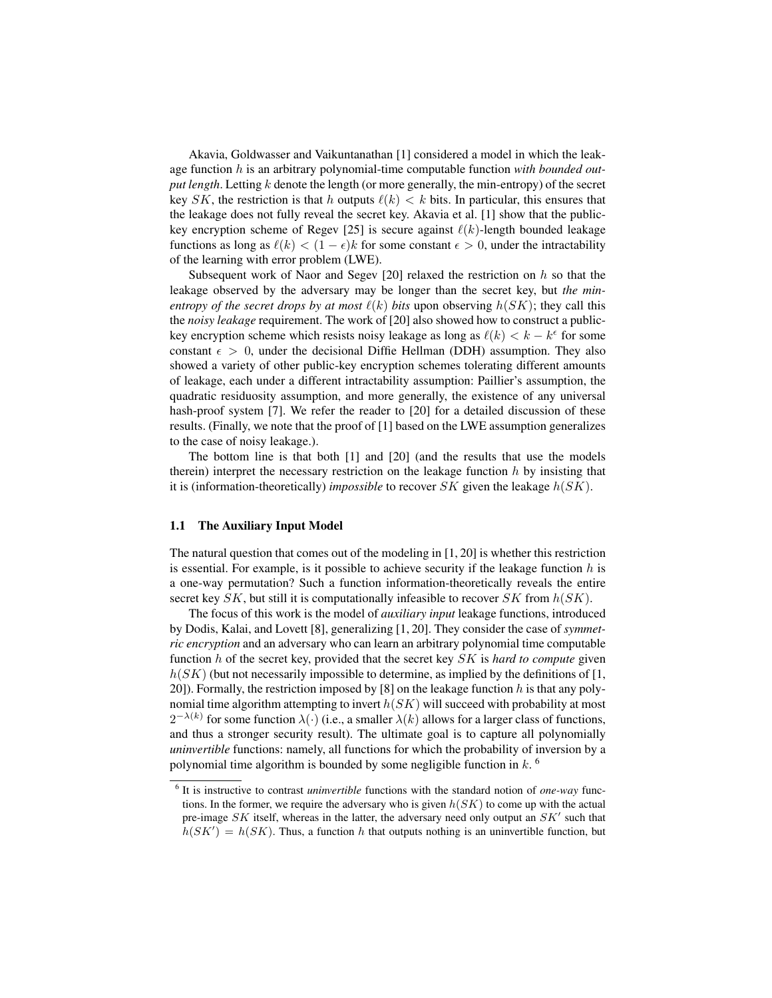Akavia, Goldwasser and Vaikuntanathan [1] considered a model in which the leakage function h is an arbitrary polynomial-time computable function *with bounded output length*. Letting k denote the length (or more generally, the min-entropy) of the secret key SK, the restriction is that h outputs  $\ell(k) < k$  bits. In particular, this ensures that the leakage does not fully reveal the secret key. Akavia et al. [1] show that the publickey encryption scheme of Regev [25] is secure against  $\ell(k)$ -length bounded leakage functions as long as  $\ell(k) < (1 - \epsilon)k$  for some constant  $\epsilon > 0$ , under the intractability of the learning with error problem (LWE).

Subsequent work of Naor and Segev  $[20]$  relaxed the restriction on h so that the leakage observed by the adversary may be longer than the secret key, but *the minentropy of the secret drops by at most*  $\ell(k)$  *bits* upon observing  $h(SK)$ ; they call this the *noisy leakage* requirement. The work of [20] also showed how to construct a publickey encryption scheme which resists noisy leakage as long as  $\ell(k) < k - k^{\epsilon}$  for some constant  $\epsilon > 0$ , under the decisional Diffie Hellman (DDH) assumption. They also showed a variety of other public-key encryption schemes tolerating different amounts of leakage, each under a different intractability assumption: Paillier's assumption, the quadratic residuosity assumption, and more generally, the existence of any universal hash-proof system [7]. We refer the reader to [20] for a detailed discussion of these results. (Finally, we note that the proof of [1] based on the LWE assumption generalizes to the case of noisy leakage.).

The bottom line is that both [1] and [20] (and the results that use the models therein) interpret the necessary restriction on the leakage function  $h$  by insisting that it is (information-theoretically) *impossible* to recover  $SK$  given the leakage  $h(SK)$ .

## 1.1 The Auxiliary Input Model

The natural question that comes out of the modeling in [1, 20] is whether this restriction is essential. For example, is it possible to achieve security if the leakage function  $h$  is a one-way permutation? Such a function information-theoretically reveals the entire secret key  $SK$ , but still it is computationally infeasible to recover  $SK$  from  $h(SK)$ .

The focus of this work is the model of *auxiliary input* leakage functions, introduced by Dodis, Kalai, and Lovett [8], generalizing [1, 20]. They consider the case of *symmetric encryption* and an adversary who can learn an arbitrary polynomial time computable function h of the secret key, provided that the secret key SK is *hard to compute* given  $h(SK)$  (but not necessarily impossible to determine, as implied by the definitions of [1, 20]). Formally, the restriction imposed by [8] on the leakage function h is that any polynomial time algorithm attempting to invert  $h(SK)$  will succeed with probability at most  $2^{-\lambda(k)}$  for some function  $\lambda(\cdot)$  (i.e., a smaller  $\lambda(k)$  allows for a larger class of functions, and thus a stronger security result). The ultimate goal is to capture all polynomially *uninvertible* functions: namely, all functions for which the probability of inversion by a polynomial time algorithm is bounded by some negligible function in  $k$ .

<sup>6</sup> It is instructive to contrast *uninvertible* functions with the standard notion of *one-way* functions. In the former, we require the adversary who is given  $h(SK)$  to come up with the actual pre-image SK itself, whereas in the latter, the adversary need only output an  $SK'$  such that  $h(SK') = h(SK)$ . Thus, a function h that outputs nothing is an uninvertible function, but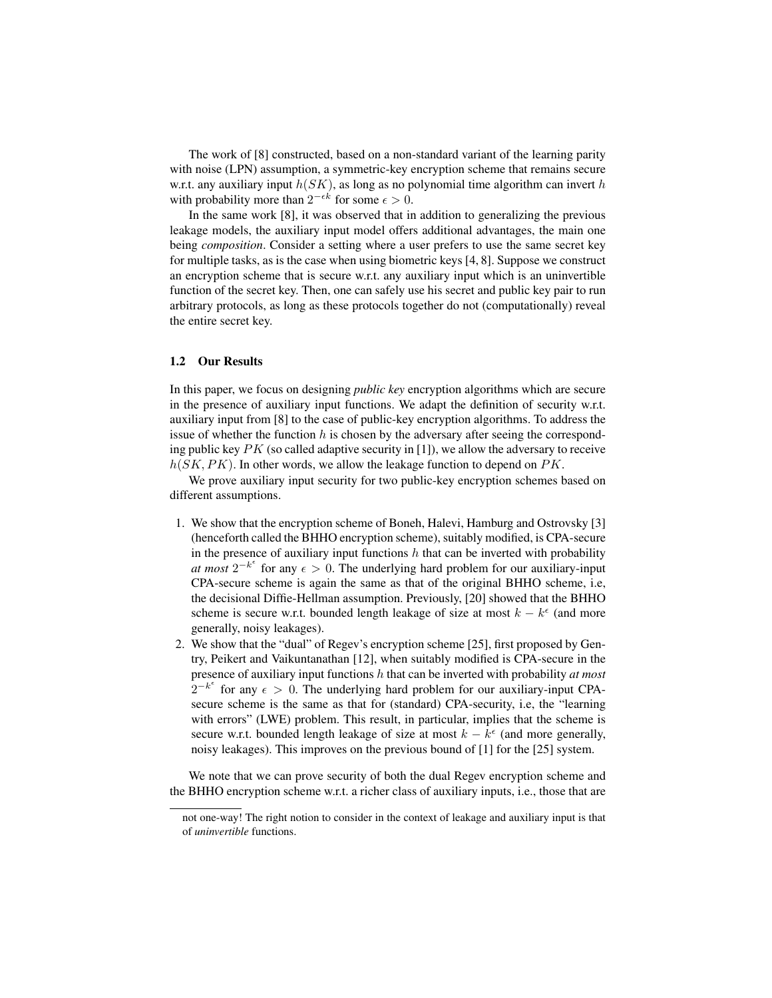The work of [8] constructed, based on a non-standard variant of the learning parity with noise (LPN) assumption, a symmetric-key encryption scheme that remains secure w.r.t. any auxiliary input  $h(SK)$ , as long as no polynomial time algorithm can invert h with probability more than  $2^{-\epsilon k}$  for some  $\epsilon > 0$ .

In the same work [8], it was observed that in addition to generalizing the previous leakage models, the auxiliary input model offers additional advantages, the main one being *composition*. Consider a setting where a user prefers to use the same secret key for multiple tasks, as is the case when using biometric keys [4, 8]. Suppose we construct an encryption scheme that is secure w.r.t. any auxiliary input which is an uninvertible function of the secret key. Then, one can safely use his secret and public key pair to run arbitrary protocols, as long as these protocols together do not (computationally) reveal the entire secret key.

#### 1.2 Our Results

In this paper, we focus on designing *public key* encryption algorithms which are secure in the presence of auxiliary input functions. We adapt the definition of security w.r.t. auxiliary input from [8] to the case of public-key encryption algorithms. To address the issue of whether the function  $h$  is chosen by the adversary after seeing the corresponding public key  $PK$  (so called adaptive security in [1]), we allow the adversary to receive  $h(SK, PK)$ . In other words, we allow the leakage function to depend on PK.

We prove auxiliary input security for two public-key encryption schemes based on different assumptions.

- 1. We show that the encryption scheme of Boneh, Halevi, Hamburg and Ostrovsky [3] (henceforth called the BHHO encryption scheme), suitably modified, is CPA-secure in the presence of auxiliary input functions  $h$  that can be inverted with probability *at most*  $2^{-k^{\epsilon}}$  for any  $\epsilon > 0$ . The underlying hard problem for our auxiliary-input CPA-secure scheme is again the same as that of the original BHHO scheme, i.e, the decisional Diffie-Hellman assumption. Previously, [20] showed that the BHHO scheme is secure w.r.t. bounded length leakage of size at most  $k - k^{\epsilon}$  (and more generally, noisy leakages).
- 2. We show that the "dual" of Regev's encryption scheme [25], first proposed by Gentry, Peikert and Vaikuntanathan [12], when suitably modified is CPA-secure in the presence of auxiliary input functions h that can be inverted with probability *at most*  $2^{-k^{\epsilon}}$  for any  $\epsilon > 0$ . The underlying hard problem for our auxiliary-input CPAsecure scheme is the same as that for (standard) CPA-security, i.e, the "learning with errors" (LWE) problem. This result, in particular, implies that the scheme is secure w.r.t. bounded length leakage of size at most  $k - k^{\epsilon}$  (and more generally, noisy leakages). This improves on the previous bound of [1] for the [25] system.

We note that we can prove security of both the dual Regev encryption scheme and the BHHO encryption scheme w.r.t. a richer class of auxiliary inputs, i.e., those that are

not one-way! The right notion to consider in the context of leakage and auxiliary input is that of *uninvertible* functions.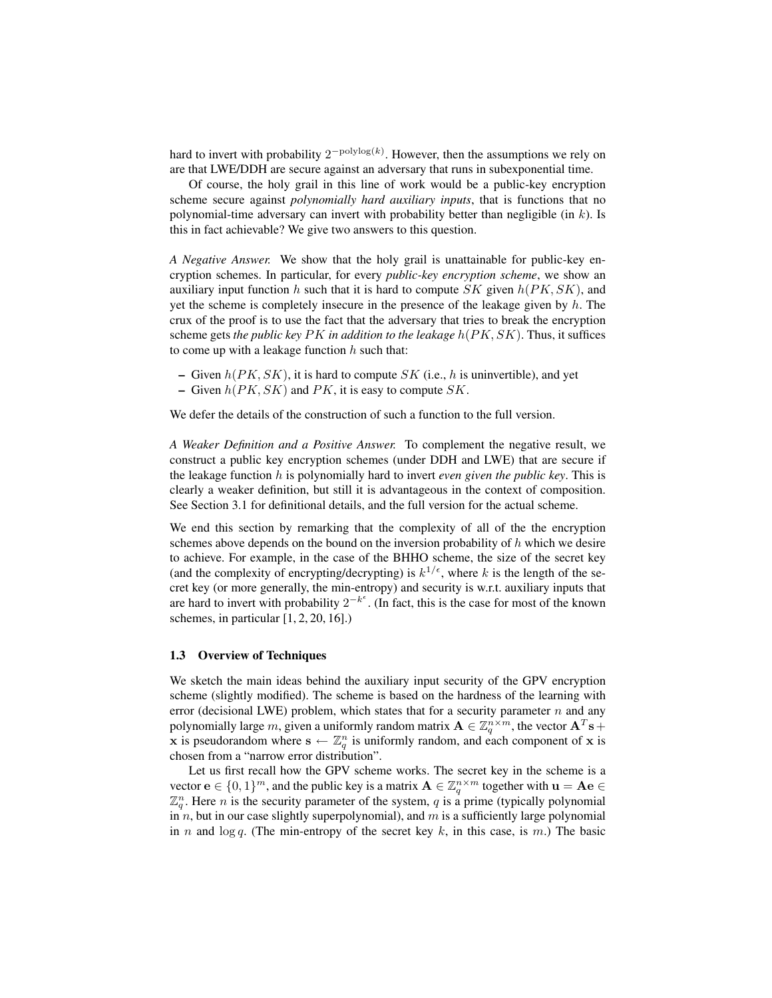hard to invert with probability  $2^{-polylog(k)}$ . However, then the assumptions we rely on are that LWE/DDH are secure against an adversary that runs in subexponential time.

Of course, the holy grail in this line of work would be a public-key encryption scheme secure against *polynomially hard auxiliary inputs*, that is functions that no polynomial-time adversary can invert with probability better than negligible (in  $k$ ). Is this in fact achievable? We give two answers to this question.

*A Negative Answer.* We show that the holy grail is unattainable for public-key encryption schemes. In particular, for every *public-key encryption scheme*, we show an auxiliary input function h such that it is hard to compute SK given  $h(PK, SK)$ , and yet the scheme is completely insecure in the presence of the leakage given by  $h$ . The crux of the proof is to use the fact that the adversary that tries to break the encryption scheme gets *the public key* PK *in addition to the leakage* h(PK, SK). Thus, it suffices to come up with a leakage function  $h$  such that:

- Given  $h(PK, SK)$ , it is hard to compute SK (i.e., h is uninvertible), and yet
- Given  $h(PK, SK)$  and PK, it is easy to compute SK.

We defer the details of the construction of such a function to the full version.

*A Weaker Definition and a Positive Answer.* To complement the negative result, we construct a public key encryption schemes (under DDH and LWE) that are secure if the leakage function h is polynomially hard to invert *even given the public key*. This is clearly a weaker definition, but still it is advantageous in the context of composition. See Section 3.1 for definitional details, and the full version for the actual scheme.

We end this section by remarking that the complexity of all of the the encryption schemes above depends on the bound on the inversion probability of  $h$  which we desire to achieve. For example, in the case of the BHHO scheme, the size of the secret key (and the complexity of encrypting/decrypting) is  $k^{1/\epsilon}$ , where k is the length of the secret key (or more generally, the min-entropy) and security is w.r.t. auxiliary inputs that are hard to invert with probability  $2^{-k^{\epsilon}}$ . (In fact, this is the case for most of the known schemes, in particular  $[1, 2, 20, 16]$ .

#### 1.3 Overview of Techniques

We sketch the main ideas behind the auxiliary input security of the GPV encryption scheme (slightly modified). The scheme is based on the hardness of the learning with error (decisional LWE) problem, which states that for a security parameter  $n$  and any polynomially large m, given a uniformly random matrix  $\mathbf{A} \in \mathbb{Z}_q^{n \times m}$ , the vector  $\mathbf{A}^T\mathbf{s}$  + x is pseudorandom where  $\mathbf{s} \leftarrow \mathbb{Z}_q^n$  is uniformly random, and each component of x is chosen from a "narrow error distribution".

Let us first recall how the GPV scheme works. The secret key in the scheme is a vector  $\mathbf{e} \in \{0,1\}^m$ , and the public key is a matrix  $\mathbf{A} \in \mathbb{Z}_q^{n \times m}$  together with  $\mathbf{u} = \mathbf{A} \mathbf{e} \in \mathbb{Z}_q^{n \times m}$  $\mathbb{Z}_q^n$ . Here n is the security parameter of the system, q is a prime (typically polynomial in n, but in our case slightly superpolynomial), and  $m$  is a sufficiently large polynomial in n and  $\log q$ . (The min-entropy of the secret key k, in this case, is m.) The basic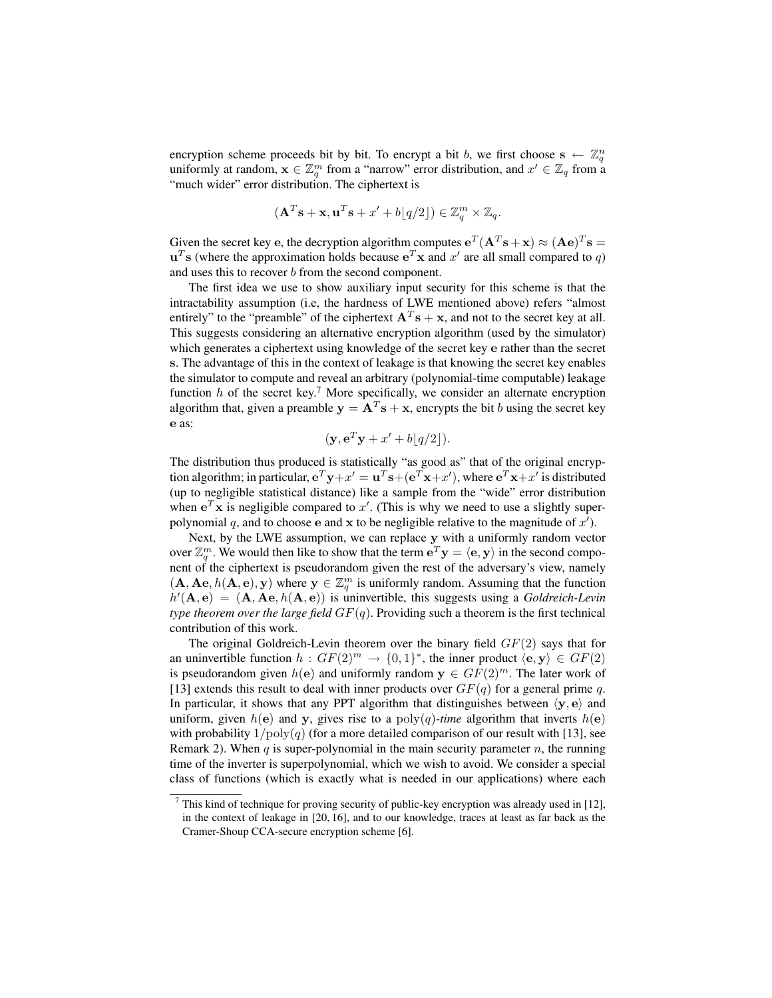encryption scheme proceeds bit by bit. To encrypt a bit b, we first choose  $\mathbf{s} \leftarrow \mathbb{Z}_q^n$ uniformly at random,  $\mathbf{x} \in \mathbb{Z}_q^m$  from a "narrow" error distribution, and  $x' \in \mathbb{Z}_q$  from a "much wider" error distribution. The ciphertext is

$$
(\mathbf{A}^T \mathbf{s} + \mathbf{x}, \mathbf{u}^T \mathbf{s} + x' + b \lfloor q/2 \rfloor) \in \mathbb{Z}_q^m \times \mathbb{Z}_q.
$$

Given the secret key e, the decryption algorithm computes  $e^T(A^T s + x) \approx (Ae)^T s =$  $\mathbf{u}^T$ s (where the approximation holds because  $\mathbf{e}^T \mathbf{x}$  and  $x'$  are all small compared to q) and uses this to recover b from the second component.

The first idea we use to show auxiliary input security for this scheme is that the intractability assumption (i.e, the hardness of LWE mentioned above) refers "almost entirely" to the "preamble" of the ciphertext  $A^T s + x$ , and not to the secret key at all. This suggests considering an alternative encryption algorithm (used by the simulator) which generates a ciphertext using knowledge of the secret key e rather than the secret s. The advantage of this in the context of leakage is that knowing the secret key enables the simulator to compute and reveal an arbitrary (polynomial-time computable) leakage function  $h$  of the secret key.<sup>7</sup> More specifically, we consider an alternate encryption algorithm that, given a preamble  $y = A<sup>T</sup>s + x$ , encrypts the bit b using the secret key e as:

$$
(\mathbf{y}, \mathbf{e}^T \mathbf{y} + x' + b \lfloor q/2 \rfloor).
$$

The distribution thus produced is statistically "as good as" that of the original encryption algorithm; in particular,  $e^T y + x' = u^T s + (e^T x + x')$ , where  $e^T x + x'$  is distributed (up to negligible statistical distance) like a sample from the "wide" error distribution when  $e^T$ **x** is negligible compared to x'. (This is why we need to use a slightly superpolynomial q, and to choose e and x to be negligible relative to the magnitude of  $x'$ ).

Next, by the LWE assumption, we can replace y with a uniformly random vector over  $\mathbb{Z}_q^m$ . We would then like to show that the term  $\mathbf{e}^T \mathbf{y} = \langle \mathbf{e}, \mathbf{y} \rangle$  in the second component of the ciphertext is pseudorandom given the rest of the adversary's view, namely  $(A, Ae, h(A, e), y)$  where  $y \in \mathbb{Z}_q^m$  is uniformly random. Assuming that the function  $h'(\mathbf{A}, \mathbf{e}) = (\mathbf{A}, \mathbf{A}\mathbf{e}, h(\mathbf{A}, \mathbf{e}))$  is uninvertible, this suggests using a *Goldreich-Levin type theorem over the large field*  $GF(q)$ . Providing such a theorem is the first technical contribution of this work.

The original Goldreich-Levin theorem over the binary field  $GF(2)$  says that for an uninvertible function  $h: GF(2)^m \rightarrow \{0,1\}^*$ , the inner product  $\langle e, y \rangle \in GF(2)$ is pseudorandom given  $h(e)$  and uniformly random  $y \in GF(2)^m$ . The later work of [13] extends this result to deal with inner products over  $GF(q)$  for a general prime q. In particular, it shows that any PPT algorithm that distinguishes between  $\langle y, e \rangle$  and uniform, given  $h(e)$  and y, gives rise to a  $poly(q)$ -time algorithm that inverts  $h(e)$ with probability  $1/\text{poly}(q)$  (for a more detailed comparison of our result with [13], see Remark 2). When  $q$  is super-polynomial in the main security parameter  $n$ , the running time of the inverter is superpolynomial, which we wish to avoid. We consider a special class of functions (which is exactly what is needed in our applications) where each

 $7$  This kind of technique for proving security of public-key encryption was already used in [12], in the context of leakage in [20, 16], and to our knowledge, traces at least as far back as the Cramer-Shoup CCA-secure encryption scheme [6].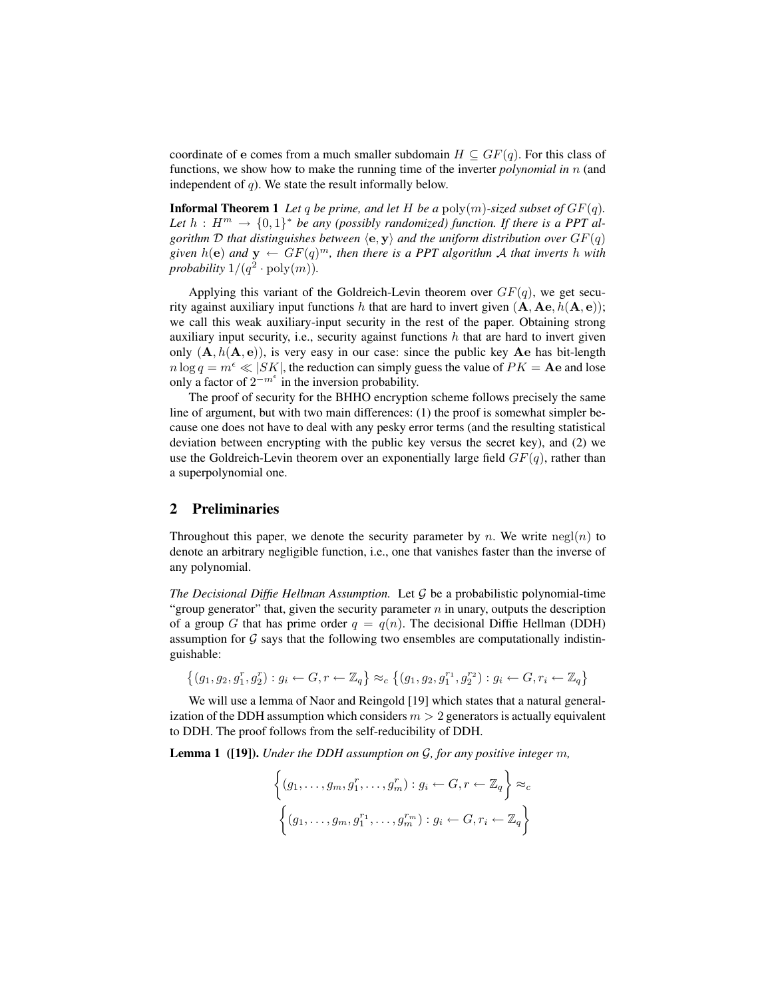coordinate of e comes from a much smaller subdomain  $H \subseteq GF(q)$ . For this class of functions, we show how to make the running time of the inverter *polynomial in* n (and independent of  $q$ ). We state the result informally below.

**Informal Theorem 1** Let q be prime, and let H be a  $poly(m)$ -sized subset of  $GF(q)$ . Let  $h: H^m \to \{0,1\}^*$  be any (possibly randomized) function. If there is a PPT al*gorithm*  $D$  *that distinguishes between*  $\langle e, y \rangle$  *and the uniform distribution over*  $GF(q)$ given  $h(e)$  and  $y \leftarrow GF(q)^m$ , then there is a PPT algorithm A that inverts h with probability  $1/(q^2 \cdot \text{poly}(m))$ .

Applying this variant of the Goldreich-Levin theorem over  $GF(q)$ , we get security against auxiliary input functions h that are hard to invert given  $(A, Ae, h(A, e))$ ; we call this weak auxiliary-input security in the rest of the paper. Obtaining strong auxiliary input security, i.e., security against functions  $h$  that are hard to invert given only  $(A, h(A, e))$ , is very easy in our case: since the public key Ae has bit-length  $n \log q = m^{\epsilon} \ll |SK|$ , the reduction can simply guess the value of  $PK =$  Ae and lose only a factor of  $2^{-m^{\epsilon}}$  in the inversion probability.

The proof of security for the BHHO encryption scheme follows precisely the same line of argument, but with two main differences: (1) the proof is somewhat simpler because one does not have to deal with any pesky error terms (and the resulting statistical deviation between encrypting with the public key versus the secret key), and (2) we use the Goldreich-Levin theorem over an exponentially large field  $GF(q)$ , rather than a superpolynomial one.

## 2 Preliminaries

Throughout this paper, we denote the security parameter by n. We write  $negl(n)$  to denote an arbitrary negligible function, i.e., one that vanishes faster than the inverse of any polynomial.

*The Decisional Diffie Hellman Assumption.* Let  $\mathcal G$  be a probabilistic polynomial-time "group generator" that, given the security parameter  $n$  in unary, outputs the description of a group G that has prime order  $q = q(n)$ . The decisional Diffie Hellman (DDH) assumption for  $G$  says that the following two ensembles are computationally indistinguishable:

$$
\left\{(g_1,g_2,g_1^r,g_2^r): g_i \leftarrow G, r \leftarrow \mathbb{Z}_q\right\} \approx_c \left\{(g_1,g_2,g_1^{r_1},g_2^{r_2}): g_i \leftarrow G, r_i \leftarrow \mathbb{Z}_q\right\}
$$

We will use a lemma of Naor and Reingold [19] which states that a natural generalization of the DDH assumption which considers  $m > 2$  generators is actually equivalent to DDH. The proof follows from the self-reducibility of DDH.

Lemma 1 ([19]). *Under the DDH assumption on* G*, for any positive integer* m*,*

$$
\left\{ (g_1, \ldots, g_m, g_1^r, \ldots, g_m^r) : g_i \leftarrow G, r \leftarrow \mathbb{Z}_q \right\} \approx_c
$$

$$
\left\{ (g_1, \ldots, g_m, g_1^{r_1}, \ldots, g_m^{r_m}) : g_i \leftarrow G, r_i \leftarrow \mathbb{Z}_q \right\}
$$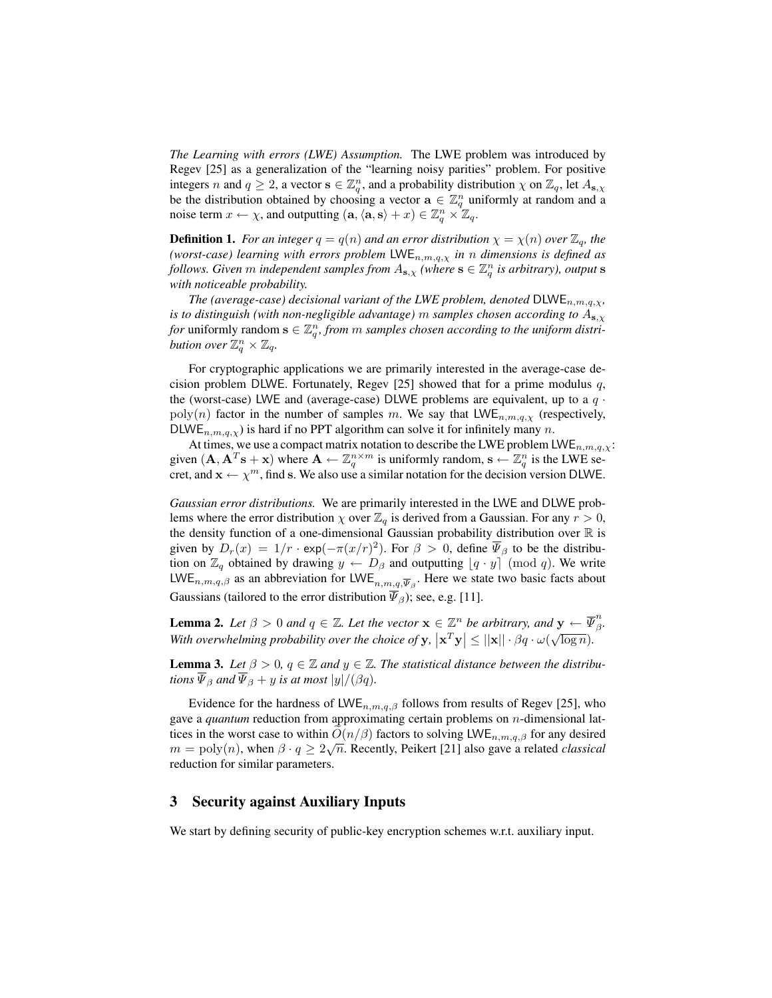*The Learning with errors (LWE) Assumption.* The LWE problem was introduced by Regev [25] as a generalization of the "learning noisy parities" problem. For positive integers n and  $q \ge 2$ , a vector  $s \in \mathbb{Z}_q^n$ , and a probability distribution  $\chi$  on  $\mathbb{Z}_q$ , let  $A_{s,\chi}$ be the distribution obtained by choosing a vector  $\mathbf{a} \in \mathbb{Z}_q^n$  uniformly at random and a noise term  $x \leftarrow \chi$ , and outputting  $(\mathbf{a}, \langle \mathbf{a}, \mathbf{s} \rangle + x) \in \mathbb{Z}_q^n \times \mathbb{Z}_q$ .

**Definition 1.** *For an integer*  $q = q(n)$  *and an error distribution*  $\chi = \chi(n)$  *over*  $\mathbb{Z}_q$ *, the (worst-case) learning with errors problem* LWE $_{n,m,q,\chi}$  *in n dimensions is defined as follows. Given m independent samples from*  $A_{s, \chi}$  *(where*  $s \in \mathbb{Z}_q^n$  *is arbitrary), output* s *with noticeable probability.*

*The (average-case) decisional variant of the LWE problem, denoted*  $DLWE_{n,m,q,\chi}$ *, is to distinguish (with non-negligible advantage)* m *samples chosen according to*  $A_{s,x}$ *for* uniformly random  $\mathbf{s} \in \mathbb{Z}_q^n$ , from m samples chosen according to the uniform distri*bution over*  $\mathbb{Z}_q^n \times \mathbb{Z}_q$ *.* 

For cryptographic applications we are primarily interested in the average-case decision problem DLWE. Fortunately, Regev [25] showed that for a prime modulus  $q$ , the (worst-case) LWE and (average-case) DLWE problems are equivalent, up to a  $q \cdot$  $poly(n)$  factor in the number of samples m. We say that  $LWE_{n,m,q,\chi}$  (respectively, DLWE<sub>n,m,q, $\chi$ ) is hard if no PPT algorithm can solve it for infinitely many n.</sub>

At times, we use a compact matrix notation to describe the LWE problem  $LWE_{n,m,q,\chi}$ : given  $(A, A^T s + x)$  where  $A \leftarrow \mathbb{Z}_q^{n \times m}$  is uniformly random,  $s \leftarrow \mathbb{Z}_q^n$  is the LWE secret, and  $\mathbf{x} \leftarrow \chi^m$ , find s. We also use a similar notation for the decision version DLWE.

*Gaussian error distributions.* We are primarily interested in the LWE and DLWE problems where the error distribution  $\chi$  over  $\mathbb{Z}_q$  is derived from a Gaussian. For any  $r > 0$ , the density function of a one-dimensional Gaussian probability distribution over  $\mathbb R$  is given by  $D_r(x) = 1/r \cdot \exp(-\pi (x/r)^2)$ . For  $\beta > 0$ , define  $\overline{\Psi}_{\beta}$  to be the distribution on  $\mathbb{Z}_q$  obtained by drawing  $y \leftarrow D_\beta$  and outputting  $[q \cdot y]$  (mod q). We write LWE<sub>n,m,q,β</sub> as an abbreviation for LWE<sub>n,m,q, $\overline{\psi}_{\beta}$ . Here we state two basic facts about</sub> Gaussians (tailored to the error distribution  $\overline{\Psi}_{\beta}$ ); see, e.g. [11].

**Lemma 2.** Let  $\beta > 0$  and  $q \in \mathbb{Z}$ . Let the vector  $\mathbf{x} \in \mathbb{Z}^n$  be arbitrary, and  $\mathbf{y} \leftarrow \overline{\Psi}_{\beta}^n$ β *.* **Example 2.** Let  $p > 0$  and  $q \in \mathbb{Z}$ . Let the vector  $\mathbf{x} \in \mathbb{Z}$  be dibility, and  $\mathbf{y} \in \mathbb{R}$ <br>With overwhelming probability over the choice of  $\mathbf{y}$ ,  $|\mathbf{x}^T \mathbf{y}| \leq ||\mathbf{x}|| \cdot \beta q \cdot \omega(\sqrt{\log n})$ .

**Lemma 3.** Let  $\beta > 0$ ,  $q \in \mathbb{Z}$  and  $y \in \mathbb{Z}$ . The statistical distance between the distribu*tions*  $\overline{\Psi}_{\beta}$  *and*  $\overline{\Psi}_{\beta}$  + *y is at most*  $|y|/(\beta q)$ *.* 

Evidence for the hardness of LWE<sub>n,m,q, $\beta$ </sub> follows from results of Regev [25], who gave a *quantum* reduction from approximating certain problems on n-dimensional lattices in the worst case to within  $O(n/\beta)$  factors to solving LWE<sub>n,m,q, $\beta$ </sub> for any desired  $m = \text{poly}(n)$ , when  $\beta \cdot q \ge 2\sqrt{n}$ . Recently, Peikert [21] also gave a related *classical* reduction for similar parameters.

# 3 Security against Auxiliary Inputs

We start by defining security of public-key encryption schemes w.r.t. auxiliary input.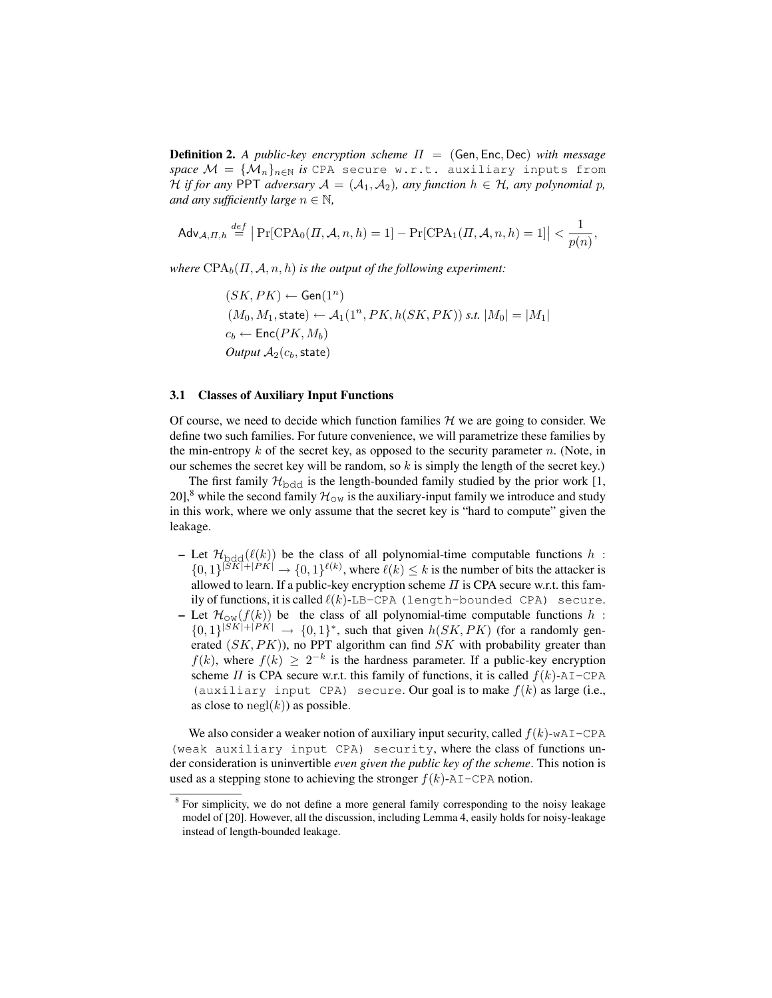**Definition 2.** A public-key encryption scheme  $\Pi = (Gen, Enc, Dec)$  with message *space*  $\mathcal{M} = {\{\mathcal{M}_n\}}_{n\in\mathbb{N}}$  *is* CPA secure w.r.t. auxiliary inputs from H *if for any* PPT *adversary*  $A = (A_1, A_2)$ *, any function*  $h \in H$ *, any polynomial* p*, and any sufficiently large*  $n \in \mathbb{N}$ ,

$$
\mathsf{Adv}_{\mathcal{A},\varPi,h}\overset{def}{=}\big|\Pr[\text{CPA}_0(\varPi,\mathcal{A},n,h)=1]-\Pr[\text{CPA}_1(\varPi,\mathcal{A},n,h)=1]\big|<\frac{1}{p(n)},
$$

*where*  $CPA_b(\Pi, \mathcal{A}, n, h)$  *is the output of the following experiment:* 

 $(SK, PK) \leftarrow$  Gen $(1^n)$  $(M_0, M_1, \text{state}) \leftarrow A_1(1^n, PK, h(SK, PK)) \text{ s.t. } |M_0| = |M_1|$  $c_b \leftarrow \mathsf{Enc}(PK, M_b)$ *Output*  $A_2(c_b, state)$ 

### 3.1 Classes of Auxiliary Input Functions

as close to  $negl(k)$  as possible.

Of course, we need to decide which function families  $H$  we are going to consider. We define two such families. For future convenience, we will parametrize these families by the min-entropy  $k$  of the secret key, as opposed to the security parameter  $n$ . (Note, in our schemes the secret key will be random, so  $k$  is simply the length of the secret key.)

The first family  $\mathcal{H}_{\text{bdd}}$  is the length-bounded family studied by the prior work [1, 20],<sup>8</sup> while the second family  $\mathcal{H}_{\text{OW}}$  is the auxiliary-input family we introduce and study in this work, where we only assume that the secret key is "hard to compute" given the leakage.

– Let  $\mathcal{H}_{\text{bdd}}(\ell(k))$  be the class of all polynomial-time computable functions h:  $\{0,1\}^{|SK|+|PK|} \rightarrow \{0,1\}^{\ell(k)}$ , where  $\ell(k) \leq k$  is the number of bits the attacker is allowed to learn. If a public-key encryption scheme  $\Pi$  is CPA secure w.r.t. this family of functions, it is called  $\ell(k)$ -LB-CPA (length-bounded CPA) secure. – Let  $\mathcal{H}_{\text{OW}}(f(k))$  be the class of all polynomial-time computable functions h:  $\{0,1\}^{|SK|+|PK|} \rightarrow \{0,1\}^*$ , such that given  $h(SK, PK)$  (for a randomly generated  $(SK, PK)$ ), no PPT algorithm can find  $SK$  with probability greater than  $f(k)$ , where  $f(k) \geq 2^{-k}$  is the hardness parameter. If a public-key encryption scheme  $\Pi$  is CPA secure w.r.t. this family of functions, it is called  $f(k)$ -AI-CPA (auxiliary input CPA) secure. Our goal is to make  $f(k)$  as large (i.e.,

We also consider a weaker notion of auxiliary input security, called  $f(k)$ -wAI-CPA (weak auxiliary input CPA) security, where the class of functions under consideration is uninvertible *even given the public key of the scheme*. This notion is used as a stepping stone to achieving the stronger  $f(k)$ -AI-CPA notion.

<sup>&</sup>lt;sup>8</sup> For simplicity, we do not define a more general family corresponding to the noisy leakage model of [20]. However, all the discussion, including Lemma 4, easily holds for noisy-leakage instead of length-bounded leakage.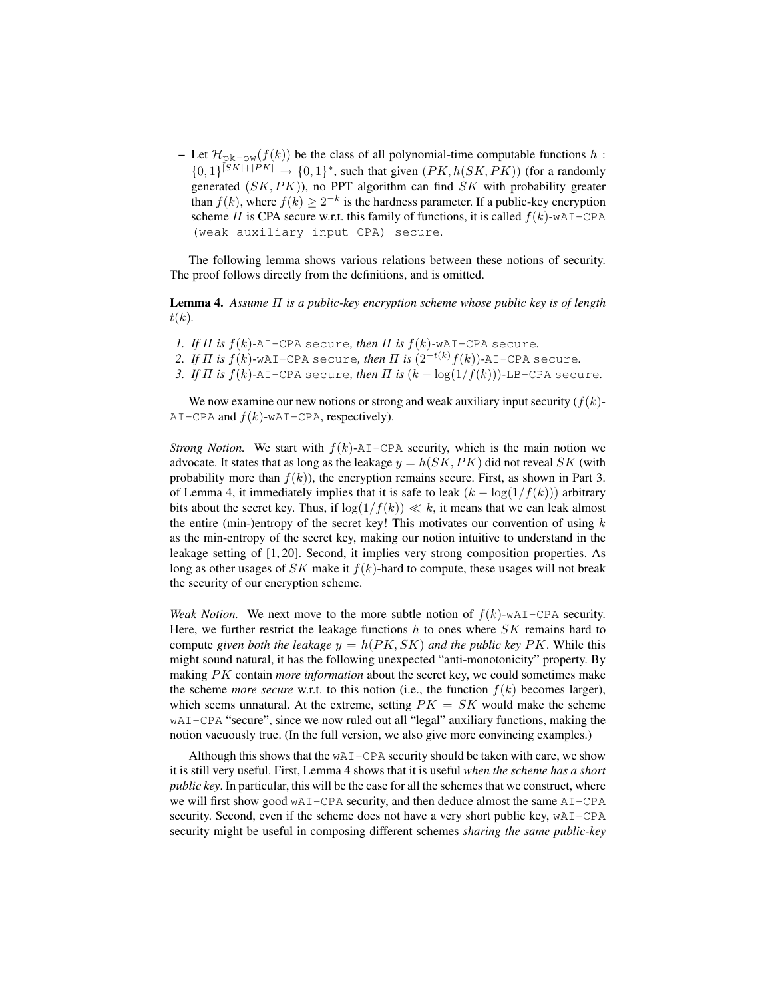– Let  $\mathcal{H}_{\text{pk}-\text{ow}}(f(k))$  be the class of all polynomial-time computable functions h:  $\{0,1\}^{|SK|+|PK|} \rightarrow \{0,1\}^*$ , such that given  $(PK, h(SK, PK))$  (for a randomly generated  $(SK, PK)$ ), no PPT algorithm can find  $SK$  with probability greater than  $f(k)$ , where  $f(k) \geq 2^{-k}$  is the hardness parameter. If a public-key encryption scheme  $\Pi$  is CPA secure w.r.t. this family of functions, it is called  $f(k)$ -wAI-CPA (weak auxiliary input CPA) secure.

The following lemma shows various relations between these notions of security. The proof follows directly from the definitions, and is omitted.

Lemma 4. *Assume* Π *is a public-key encryption scheme whose public key is of length*  $t(k)$ .

- *1. If*  $\Pi$  *is*  $f(k)$ -AI-CPA secure, then  $\Pi$  *is*  $f(k)$ -wAI-CPA secure.
- *2. If*  $\Pi$  *is*  $f(k)$ -wAI-CPA secure, then  $\Pi$  *is*  $(2^{-t(k)}f(k))$ -AI-CPA secure.
- *3. If*  $\Pi$  *is*  $f(k)$ -AI-CPA secure, then  $\Pi$  *is*  $(k \log(1/f(k)))$ -LB-CPA secure.

We now examine our new notions or strong and weak auxiliary input security  $(f(k))$ -AI-CPA and  $f(k)$ -wAI-CPA, respectively).

*Strong Notion.* We start with  $f(k)$ -AI-CPA security, which is the main notion we advocate. It states that as long as the leakage  $y = h(SK, PK)$  did not reveal SK (with probability more than  $f(k)$ ), the encryption remains secure. First, as shown in Part 3. of Lemma 4, it immediately implies that it is safe to leak  $(k - \log(1/f(k)))$  arbitrary bits about the secret key. Thus, if  $\log(1/f(k)) \ll k$ , it means that we can leak almost the entire (min-)entropy of the secret key! This motivates our convention of using  $k$ as the min-entropy of the secret key, making our notion intuitive to understand in the leakage setting of [1, 20]. Second, it implies very strong composition properties. As long as other usages of  $SK$  make it  $f(k)$ -hard to compute, these usages will not break the security of our encryption scheme.

*Weak Notion.* We next move to the more subtle notion of  $f(k)$ -wAI-CPA security. Here, we further restrict the leakage functions  $h$  to ones where  $SK$  remains hard to compute *given both the leakage*  $y = h(PK, SK)$  *and the public key PK*. While this might sound natural, it has the following unexpected "anti-monotonicity" property. By making PK contain *more information* about the secret key, we could sometimes make the scheme *more secure* w.r.t. to this notion (i.e., the function  $f(k)$  becomes larger), which seems unnatural. At the extreme, setting  $PK = SK$  would make the scheme wAI-CPA "secure", since we now ruled out all "legal" auxiliary functions, making the notion vacuously true. (In the full version, we also give more convincing examples.)

Although this shows that the wAI-CPA security should be taken with care, we show it is still very useful. First, Lemma 4 shows that it is useful *when the scheme has a short public key*. In particular, this will be the case for all the schemes that we construct, where we will first show good wAI-CPA security, and then deduce almost the same AI-CPA security. Second, even if the scheme does not have a very short public key, wAI-CPA security might be useful in composing different schemes *sharing the same public-key*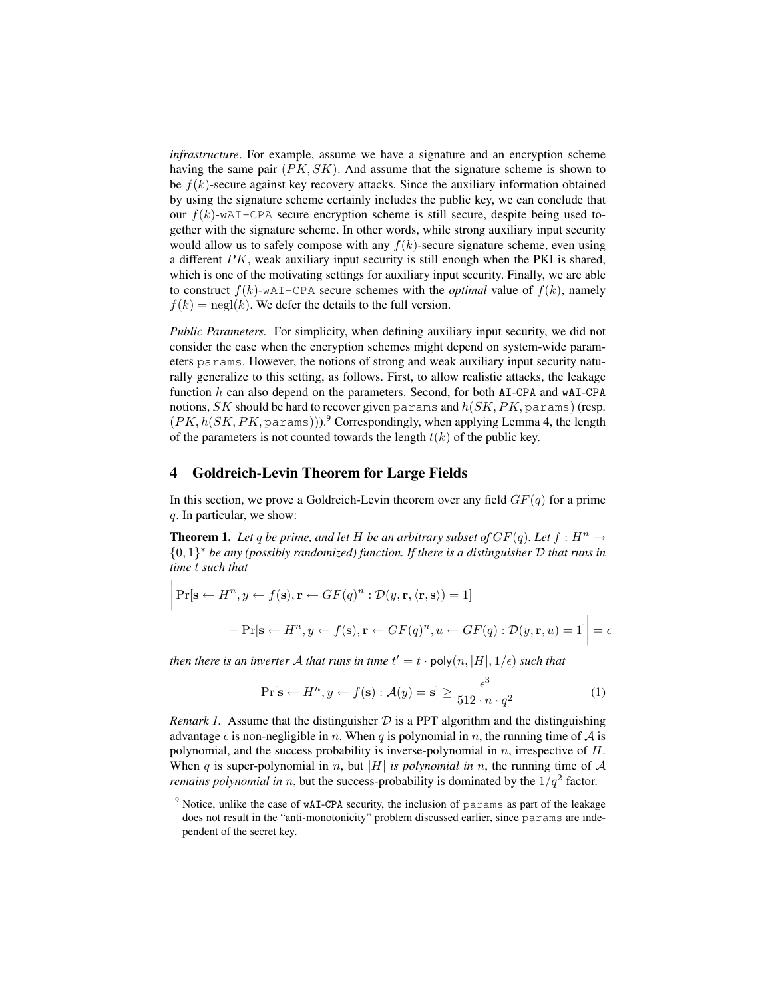*infrastructure*. For example, assume we have a signature and an encryption scheme having the same pair  $(PK, SK)$ . And assume that the signature scheme is shown to be  $f(k)$ -secure against key recovery attacks. Since the auxiliary information obtained by using the signature scheme certainly includes the public key, we can conclude that our  $f(k)$ -wAI-CPA secure encryption scheme is still secure, despite being used together with the signature scheme. In other words, while strong auxiliary input security would allow us to safely compose with any  $f(k)$ -secure signature scheme, even using a different  $PK$ , weak auxiliary input security is still enough when the PKI is shared, which is one of the motivating settings for auxiliary input security. Finally, we are able to construct  $f(k)$ -wAI-CPA secure schemes with the *optimal* value of  $f(k)$ , namely  $f(k) = \text{negl}(k)$ . We defer the details to the full version.

*Public Parameters.* For simplicity, when defining auxiliary input security, we did not consider the case when the encryption schemes might depend on system-wide parameters params. However, the notions of strong and weak auxiliary input security naturally generalize to this setting, as follows. First, to allow realistic attacks, the leakage function  $h$  can also depend on the parameters. Second, for both AI-CPA and wAI-CPA notions,  $SK$  should be hard to recover given params and  $h(SK, PK,$  params) (resp.  $(PK, h(SK, PK, \text{params})))$ .<sup>9</sup> Correspondingly, when applying Lemma 4, the length of the parameters is not counted towards the length  $t(k)$  of the public key.

# 4 Goldreich-Levin Theorem for Large Fields

In this section, we prove a Goldreich-Levin theorem over any field  $GF(q)$  for a prime q. In particular, we show:

**Theorem 1.** Let q be prime, and let H be an arbitrary subset of  $GF(q)$ . Let  $f : H^n \to$ {0, 1} <sup>∗</sup> *be any (possibly randomized) function. If there is a distinguisher* D *that runs in time* t *such that*

$$
\left| \Pr[\mathbf{s} \leftarrow H^n, y \leftarrow f(\mathbf{s}), \mathbf{r} \leftarrow GF(q)^n : \mathcal{D}(y, \mathbf{r}, \langle \mathbf{r}, \mathbf{s} \rangle) = 1] \right. \\ \left. - \Pr[\mathbf{s} \leftarrow H^n, y \leftarrow f(\mathbf{s}), \mathbf{r} \leftarrow GF(q)^n, u \leftarrow GF(q) : \mathcal{D}(y, \mathbf{r}, u) = 1] \right) \right| = \epsilon
$$

*then there is an inverter A that runs in time*  $t' = t \cdot \text{poly}(n, |H|, 1/\epsilon)$  *such that* 

$$
\Pr[\mathbf{s} \leftarrow H^n, y \leftarrow f(\mathbf{s}) : \mathcal{A}(y) = \mathbf{s}] \ge \frac{\epsilon^3}{512 \cdot n \cdot q^2} \tag{1}
$$

*Remark 1.* Assume that the distinguisher  $D$  is a PPT algorithm and the distinguishing advantage  $\epsilon$  is non-negligible in n. When q is polynomial in n, the running time of A is polynomial, and the success probability is inverse-polynomial in  $n$ , irrespective of  $H$ . When q is super-polynomial in n, but |H| *is polynomial in* n, the running time of  $A$ *remains polynomial in n*, but the success-probability is dominated by the  $1/q^2$  factor.

<sup>&</sup>lt;sup>9</sup> Notice, unlike the case of wAI-CPA security, the inclusion of params as part of the leakage does not result in the "anti-monotonicity" problem discussed earlier, since params are independent of the secret key.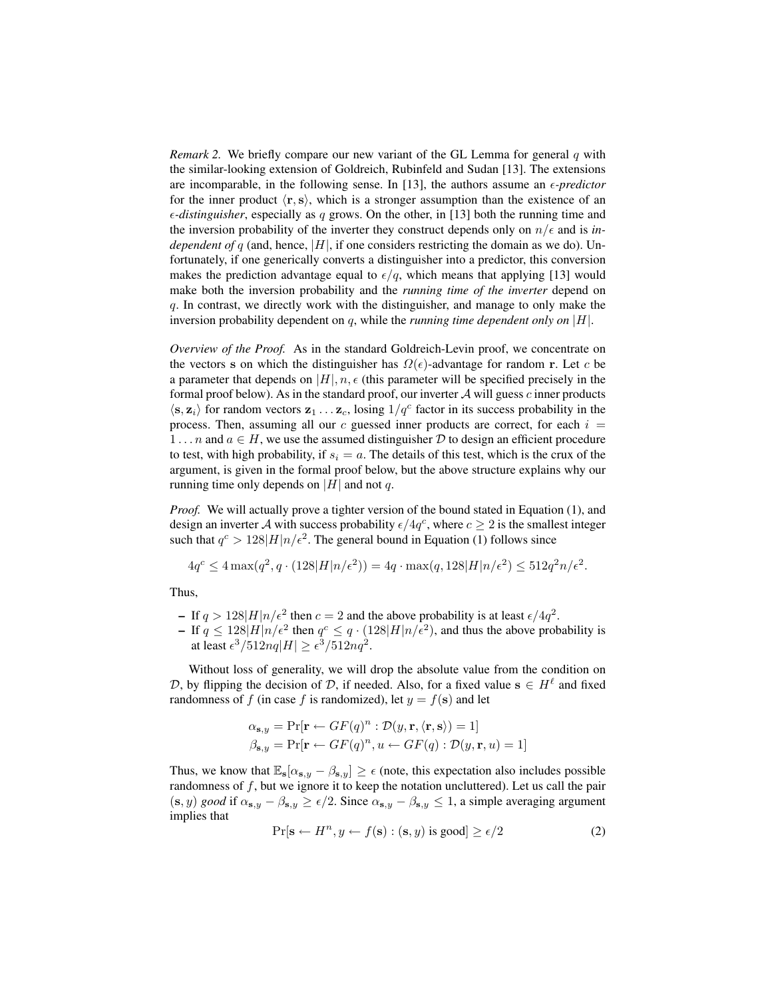*Remark 2.* We briefly compare our new variant of the GL Lemma for general q with the similar-looking extension of Goldreich, Rubinfeld and Sudan [13]. The extensions are incomparable, in the following sense. In [13], the authors assume an  $\epsilon$ -predictor for the inner product  $\langle$ r, s), which is a stronger assumption than the existence of an  $\epsilon$ -distinguisher, especially as q grows. On the other, in [13] both the running time and the inversion probability of the inverter they construct depends only on  $n/\epsilon$  and is *independent of q* (and, hence,  $|H|$ , if one considers restricting the domain as we do). Unfortunately, if one generically converts a distinguisher into a predictor, this conversion makes the prediction advantage equal to  $\epsilon/q$ , which means that applying [13] would make both the inversion probability and the *running time of the inverter* depend on q. In contrast, we directly work with the distinguisher, and manage to only make the inversion probability dependent on q, while the *running time dependent only on* |H|.

*Overview of the Proof.* As in the standard Goldreich-Levin proof, we concentrate on the vectors s on which the distinguisher has  $\Omega(\epsilon)$ -advantage for random r. Let c be a parameter that depends on  $|H|, n, \epsilon$  (this parameter will be specified precisely in the formal proof below). As in the standard proof, our inverter  $A$  will guess  $c$  inner products  $\langle s, z_i \rangle$  for random vectors  $z_1 \dots z_c$ , losing  $1/q^c$  factor in its success probability in the process. Then, assuming all our  $c$  guessed inner products are correct, for each  $i =$ 1... *n* and  $a \in H$ , we use the assumed distinguisher D to design an efficient procedure to test, with high probability, if  $s_i = a$ . The details of this test, which is the crux of the argument, is given in the formal proof below, but the above structure explains why our running time only depends on |H| and not q.

*Proof.* We will actually prove a tighter version of the bound stated in Equation (1), and design an inverter A with success probability  $\epsilon/4q^c$ , where  $c \geq 2$  is the smallest integer such that  $q^c > 128|H|n/\epsilon^2$ . The general bound in Equation (1) follows since

$$
4q^c \le 4\max(q^2, q \cdot (128|H|n/\epsilon^2)) = 4q \cdot \max(q, 128|H|n/\epsilon^2) \le 512q^2n/\epsilon^2.
$$

Thus,

- If  $q > 128|H|n/\epsilon^2$  then  $c = 2$  and the above probability is at least  $\epsilon/4q^2$ .
- If  $q \leq 128|H|n/\epsilon^2$  then  $q^c \leq q \cdot (128|H|n/\epsilon^2)$ , and thus the above probability is at least  $\epsilon^3/512nq|H| \geq \epsilon^3/512nq^2$ .

Without loss of generality, we will drop the absolute value from the condition on D, by flipping the decision of D, if needed. Also, for a fixed value  $s \in H^{\ell}$  and fixed randomness of f (in case f is randomized), let  $y = f(\mathbf{s})$  and let

$$
\alpha_{\mathbf{s},y} = \Pr[\mathbf{r} \leftarrow GF(q)^n : \mathcal{D}(y, \mathbf{r}, \langle \mathbf{r}, \mathbf{s} \rangle) = 1]
$$
  

$$
\beta_{\mathbf{s},y} = \Pr[\mathbf{r} \leftarrow GF(q)^n, u \leftarrow GF(q) : \mathcal{D}(y, \mathbf{r}, u) = 1]
$$

Thus, we know that  $\mathbb{E}_{s}[\alpha_{s,y} - \beta_{s,y}] \geq \epsilon$  (note, this expectation also includes possible randomness of  $f$ , but we ignore it to keep the notation uncluttered). Let us call the pair  $(s, y)$  *good* if  $\alpha_{s,y} - \beta_{s,y} \ge \epsilon/2$ . Since  $\alpha_{s,y} - \beta_{s,y} \le 1$ , a simple averaging argument implies that

$$
\Pr[\mathbf{s} \leftarrow H^n, y \leftarrow f(\mathbf{s}) : (\mathbf{s}, y) \text{ is good}] \ge \epsilon/2 \tag{2}
$$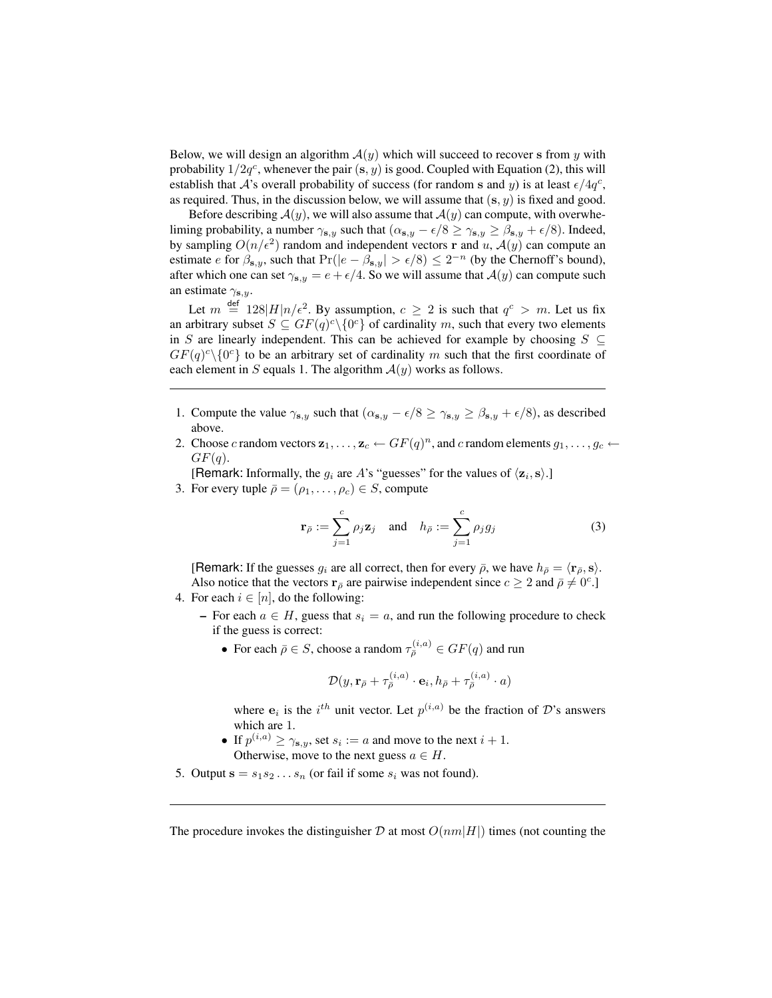Below, we will design an algorithm  $A(y)$  which will succeed to recover s from y with probability  $1/2q^c$ , whenever the pair  $(s, y)$  is good. Coupled with Equation (2), this will establish that A's overall probability of success (for random s and y) is at least  $\epsilon/4q^c$ , as required. Thus, in the discussion below, we will assume that  $(s, y)$  is fixed and good.

Before describing  $A(y)$ , we will also assume that  $A(y)$  can compute, with overwheliming probability, a number  $\gamma_{s,y}$  such that  $(\alpha_{s,y} - \epsilon/8 \ge \gamma_{s,y} \ge \beta_{s,y} + \epsilon/8)$ . Indeed, by sampling  $O(n/\epsilon^2)$  random and independent vectors r and u,  $\mathcal{A}(y)$  can compute an estimate *e* for  $\beta_{s,y}$ , such that  $Pr(|e - \beta_{s,y}| > \epsilon/8) \leq 2^{-n}$  (by the Chernoff's bound), after which one can set  $\gamma_{s,y} = e + \epsilon/4$ . So we will assume that  $\mathcal{A}(y)$  can compute such an estimate  $\gamma_{s,y}$ .

Let  $m \stackrel{\text{def}}{=} 128|H|n/\epsilon^2$ . By assumption,  $c \geq 2$  is such that  $q^c > m$ . Let us fix an arbitrary subset  $S \subseteq GF(q)^c \setminus \{0\}$  of cardinality m, such that every two elements in S are linearly independent. This can be achieved for example by choosing  $S \subseteq$  $GF(q)^{c} \setminus \{0^{c}\}\$  to be an arbitrary set of cardinality m such that the first coordinate of each element in S equals 1. The algorithm  $A(y)$  works as follows.

- 1. Compute the value  $\gamma_{s,y}$  such that  $(\alpha_{s,y} \epsilon/8 \ge \gamma_{s,y} \ge \beta_{s,y} + \epsilon/8)$ , as described above.
- 2. Choose c random vectors  $\mathbf{z}_1, \ldots, \mathbf{z}_c \leftarrow GF(q)^n$ , and c random elements  $g_1, \ldots, g_c \leftarrow$  $GF(q).$
- [Remark: Informally, the  $g_i$  are A's "guesses" for the values of  $\langle \mathbf{z}_i, \mathbf{s} \rangle$ .]
- 3. For every tuple  $\overline{\rho} = (\rho_1, \ldots, \rho_c) \in S$ , compute

$$
\mathbf{r}_{\bar{\rho}} := \sum_{j=1}^{c} \rho_j \mathbf{z}_j \quad \text{and} \quad h_{\bar{\rho}} := \sum_{j=1}^{c} \rho_j g_j \tag{3}
$$

[Remark: If the guesses  $g_i$  are all correct, then for every  $\bar{\rho}$ , we have  $h_{\bar{\rho}} = \langle \mathbf{r}_{\bar{\rho}}, \mathbf{s} \rangle$ . Also notice that the vectors  $\mathbf{r}_{\bar{\rho}}$  are pairwise independent since  $c \geq 2$  and  $\bar{\rho} \neq 0^c$ .] 4. For each  $i \in [n]$ , do the following:

- - For each  $a \in H$ , guess that  $s_i = a$ , and run the following procedure to check if the guess is correct:
		- For each  $\bar{\rho} \in S$ , choose a random  $\tau_{\bar{\rho}}^{(i,a)} \in GF(q)$  and run

$$
\mathcal{D}(y,\mathbf{r}_{\bar{\rho}}+\tau_{\bar{\rho}}^{(i,a)}\cdot \mathbf{e}_i, h_{\bar{\rho}}+\tau_{\bar{\rho}}^{(i,a)}\cdot a)
$$

where  $e_i$  is the i<sup>th</sup> unit vector. Let  $p^{(i,a)}$  be the fraction of D's answers which are 1.

- If  $p^{(i,a)} \ge \gamma_{s,y}$ , set  $s_i := a$  and move to the next  $i + 1$ . Otherwise, move to the next guess  $a \in H$ .
- 5. Output  $s = s_1 s_2 \dots s_n$  (or fail if some  $s_i$  was not found).

The procedure invokes the distinguisher D at most  $O(nm|H|)$  times (not counting the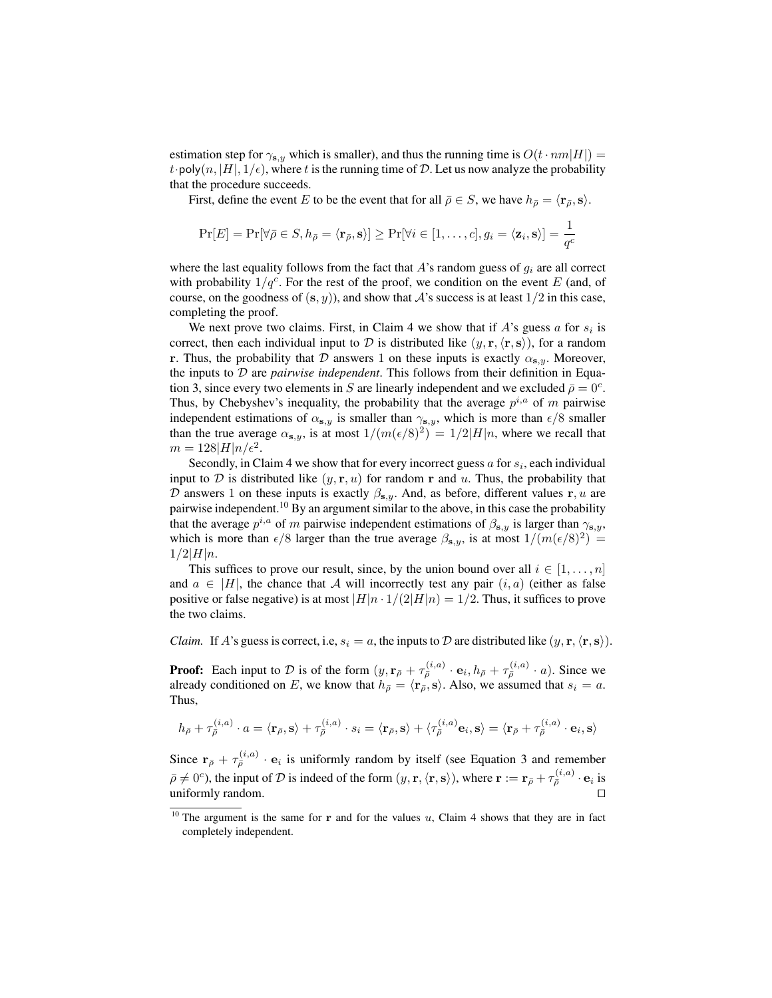estimation step for  $\gamma_{s,y}$  which is smaller), and thus the running time is  $O(t \cdot nm|H|)$  = t poly $(n, |H|, 1/\epsilon)$ , where t is the running time of D. Let us now analyze the probability that the procedure succeeds.

First, define the event E to be the event that for all  $\bar{\rho} \in S$ , we have  $h_{\bar{\rho}} = \langle \mathbf{r}_{\bar{\rho}}, \mathbf{s} \rangle$ .

$$
\Pr[E] = \Pr[\forall \bar{\rho} \in S, h_{\bar{\rho}} = \langle \mathbf{r}_{\bar{\rho}}, \mathbf{s} \rangle] \geq \Pr[\forall i \in [1, \dots, c], g_i = \langle \mathbf{z}_i, \mathbf{s} \rangle] = \frac{1}{q^c}
$$

where the last equality follows from the fact that  $A$ 's random guess of  $g_i$  are all correct with probability  $1/q^c$ . For the rest of the proof, we condition on the event E (and, of course, on the goodness of  $(s, y)$ , and show that A's success is at least  $1/2$  in this case, completing the proof.

We next prove two claims. First, in Claim 4 we show that if  $A$ 's guess  $a$  for  $s_i$  is correct, then each individual input to D is distributed like  $(y, \mathbf{r}, \langle \mathbf{r}, \mathbf{s} \rangle)$ , for a random r. Thus, the probability that D answers 1 on these inputs is exactly  $\alpha_{s,y}$ . Moreover, the inputs to D are *pairwise independent*. This follows from their definition in Equation 3, since every two elements in S are linearly independent and we excluded  $\bar{\rho} = 0^c$ . Thus, by Chebyshev's inequality, the probability that the average  $p^{i,a}$  of m pairwise independent estimations of  $\alpha_{s,y}$  is smaller than  $\gamma_{s,y}$ , which is more than  $\epsilon/8$  smaller than the true average  $\alpha_{s,y}$ , is at most  $1/(m(\epsilon/8)^2) = 1/2|H|n$ , where we recall that  $m = 128|H|n/\epsilon^2$ .

Secondly, in Claim 4 we show that for every incorrect guess  $a$  for  $s_i$ , each individual input to D is distributed like  $(y, r, u)$  for random r and u. Thus, the probability that D answers 1 on these inputs is exactly  $\beta_{s,y}$ . And, as before, different values r, u are pairwise independent.<sup>10</sup> By an argument similar to the above, in this case the probability that the average  $p^{i,a}$  of m pairwise independent estimations of  $\beta_{s,y}$  is larger than  $\gamma_{s,y}$ , which is more than  $\epsilon/8$  larger than the true average  $\beta_{s,y}$ , is at most  $1/(m(\epsilon/8)^2)$  =  $1/2|H|n$ .

This suffices to prove our result, since, by the union bound over all  $i \in [1, \ldots, n]$ and  $a \in |H|$ , the chance that A will incorrectly test any pair  $(i, a)$  (either as false positive or false negative) is at most  $|H|n \cdot 1/(2|H|n) = 1/2$ . Thus, it suffices to prove the two claims.

*Claim.* If A's guess is correct, i.e,  $s_i = a$ , the inputs to D are distributed like  $(y, \mathbf{r}, \langle \mathbf{r}, \mathbf{s} \rangle)$ .

**Proof:** Each input to D is of the form  $(y, \mathbf{r}_{\bar{\rho}} + \tau_{\bar{\rho}}^{(i,a)} \cdot \mathbf{e}_i, h_{\bar{\rho}} + \tau_{\bar{\rho}}^{(i,a)} \cdot a)$ . Since we already conditioned on E, we know that  $h_{\bar{\rho}} = \langle \mathbf{r}_{\bar{\rho}}, \mathbf{s} \rangle$ . Also, we assumed that  $s_i = a$ . Thus,

$$
h_{\bar{\rho}} + \tau_{\bar{\rho}}^{(i,a)} \cdot a = \langle \mathbf{r}_{\bar{\rho}}, \mathbf{s} \rangle + \tau_{\bar{\rho}}^{(i,a)} \cdot s_i = \langle \mathbf{r}_{\bar{\rho}}, \mathbf{s} \rangle + \langle \tau_{\bar{\rho}}^{(i,a)} \mathbf{e}_i, \mathbf{s} \rangle = \langle \mathbf{r}_{\bar{\rho}} + \tau_{\bar{\rho}}^{(i,a)} \cdot \mathbf{e}_i, \mathbf{s} \rangle
$$

Since  $\mathbf{r}_{\bar{\rho}} + \tau_{\bar{\rho}}^{(i,a)} \cdot \mathbf{e}_i$  is uniformly random by itself (see Equation 3 and remember  $\bar{\rho} \neq 0^c$ ), the input of D is indeed of the form  $(y, \mathbf{r}, \langle \mathbf{r}, \mathbf{s} \rangle)$ , where  $\mathbf{r} := \mathbf{r}_{\bar{\rho}} + \tau_{\bar{\rho}}^{(i,a)} \cdot \mathbf{e}_i$  is uniformly random.  $\Box$ 

<sup>&</sup>lt;sup>10</sup> The argument is the same for r and for the values u, Claim 4 shows that they are in fact completely independent.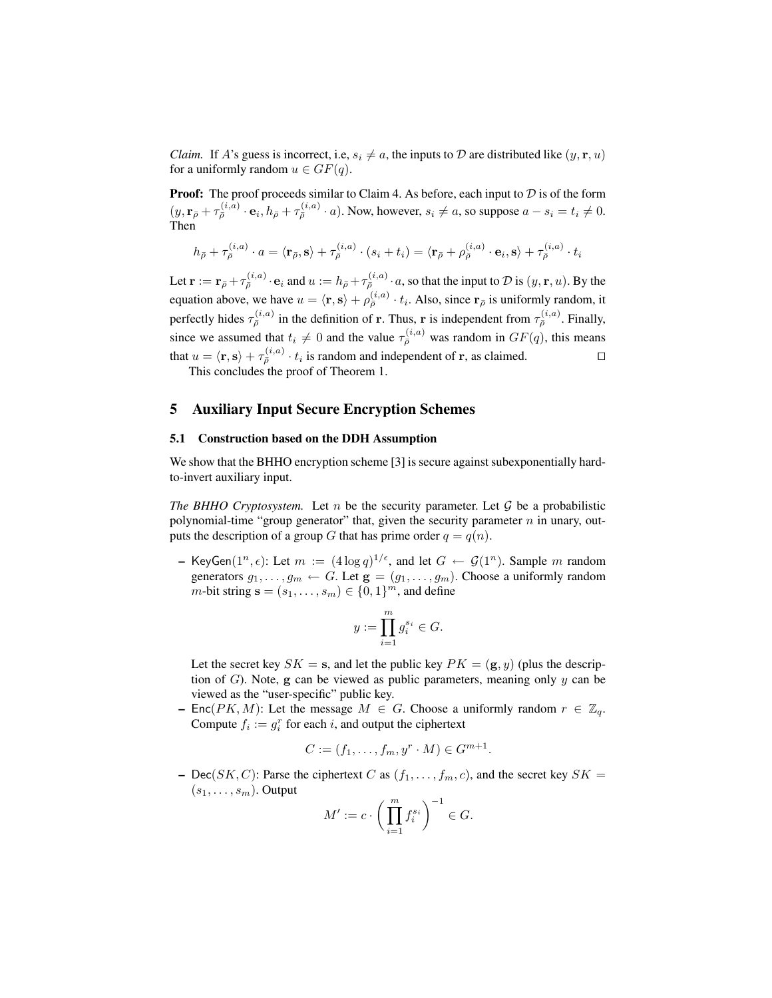*Claim.* If A's guess is incorrect, i.e,  $s_i \neq a$ , the inputs to D are distributed like  $(y, r, u)$ for a uniformly random  $u \in GF(q)$ .

**Proof:** The proof proceeds similar to Claim 4. As before, each input to  $D$  is of the form  $(y, \mathbf{r}_{\bar{\rho}} + \tau_{\bar{\rho}}^{(i,a)} \cdot \mathbf{e}_i, h_{\bar{\rho}} + \tau_{\bar{\rho}}^{(i,a)} \cdot a)$ . Now, however,  $s_i \neq a$ , so suppose  $a - s_i = t_i \neq 0$ . Then

$$
h_{\bar{\rho}} + \tau_{\bar{\rho}}^{(i,a)} \cdot a = \langle \mathbf{r}_{\bar{\rho}}, \mathbf{s} \rangle + \tau_{\bar{\rho}}^{(i,a)} \cdot (s_i + t_i) = \langle \mathbf{r}_{\bar{\rho}} + \rho_{\bar{\rho}}^{(i,a)} \cdot \mathbf{e}_i, \mathbf{s} \rangle + \tau_{\bar{\rho}}^{(i,a)} \cdot t_i
$$

Let  $\mathbf{r} := \mathbf{r}_{\bar{\rho}} + \tau_{\bar{\rho}}^{(i,a)} \cdot \mathbf{e}_i$  and  $u := h_{\bar{\rho}} + \tau_{\bar{\rho}}^{(i,a)} \cdot a$ , so that the input to  $\mathcal{D}$  is  $(y, \mathbf{r}, u)$ . By the equation above, we have  $u = \langle \mathbf{r}, \mathbf{s} \rangle + \rho_{\bar{\rho}}^{(i,a)} \cdot t_i$ . Also, since  $\mathbf{r}_{\bar{\rho}}$  is uniformly random, it perfectly hides  $\tau_{\bar{\rho}}^{(i,a)}$  in the definition of r. Thus, r is independent from  $\tau_{\bar{\rho}}^{(i,a)}$ . Finally, since we assumed that  $t_i \neq 0$  and the value  $\tau_{\bar{\rho}}^{(i,a)}$  was random in  $GF(q)$ , this means that  $u = \langle \mathbf{r}, \mathbf{s} \rangle + \tau_{\bar{\rho}}^{(i,a)} \cdot t_i$  is random and independent of  $\mathbf{r}$ , as claimed.

This concludes the proof of Theorem 1.

# 5 Auxiliary Input Secure Encryption Schemes

#### 5.1 Construction based on the DDH Assumption

We show that the BHHO encryption scheme [3] is secure against subexponentially hardto-invert auxiliary input.

*The BHHO Cryptosystem.* Let n be the security parameter. Let  $G$  be a probabilistic polynomial-time "group generator" that, given the security parameter  $n$  in unary, outputs the description of a group G that has prime order  $q = q(n)$ .

- KeyGen $(1^n, \epsilon)$ : Let  $m := (4 \log q)^{1/\epsilon}$ , and let  $G \leftarrow \mathcal{G}(1^n)$ . Sample m random generators  $g_1, \ldots, g_m \leftarrow G$ . Let  $\mathbf{g} = (g_1, \ldots, g_m)$ . Choose a uniformly random  $m$ -bit string  $\mathbf{s} = (s_1, \dots, s_m) \in \{0, 1\}^m$ , and define

$$
y := \prod_{i=1}^m g_i^{s_i} \in G.
$$

Let the secret key  $SK = s$ , and let the public key  $PK = (g, y)$  (plus the description of  $G$ ). Note,  $g$  can be viewed as public parameters, meaning only  $y$  can be viewed as the "user-specific" public key.

– Enc( $PK, M$ ): Let the message  $M \in G$ . Choose a uniformly random  $r \in \mathbb{Z}_q$ . Compute  $f_i := g_i^r$  for each i, and output the ciphertext

$$
C := (f_1, \dots, f_m, y^r \cdot M) \in G^{m+1}.
$$

– Dec(SK, C): Parse the ciphertext C as  $(f_1, \ldots, f_m, c)$ , and the secret key  $SK =$  $(s_1, \ldots, s_m)$ . Output

$$
M' := c \cdot \left(\prod_{i=1}^m f_i^{s_i}\right)^{-1} \in G.
$$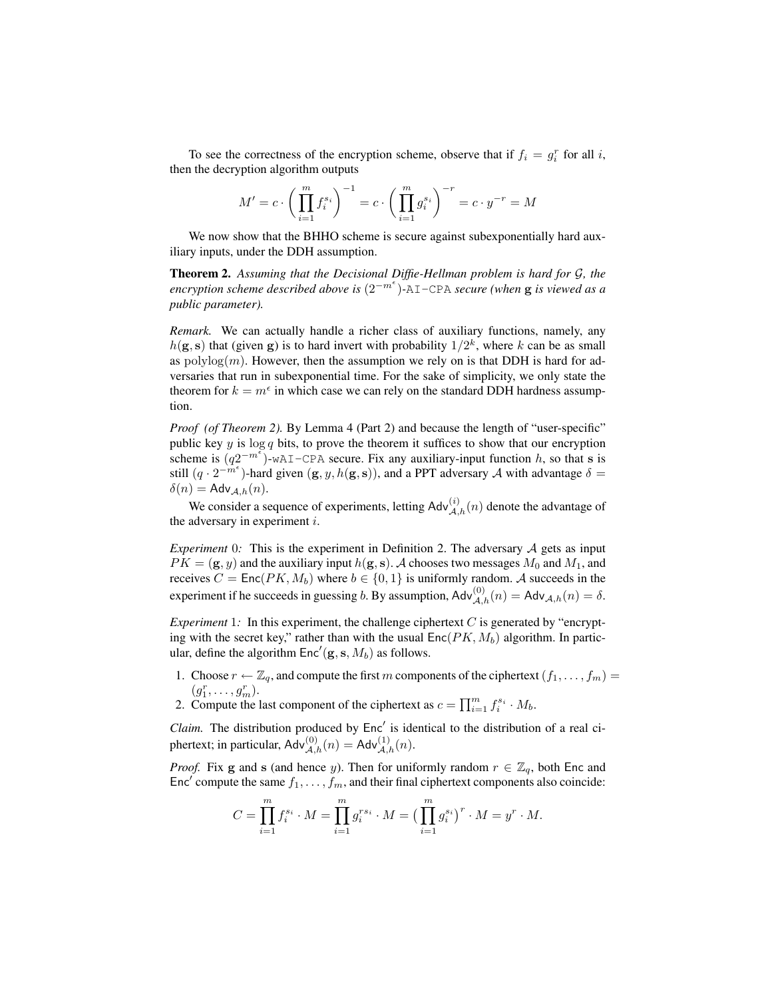To see the correctness of the encryption scheme, observe that if  $f_i = g_i^r$  for all i, then the decryption algorithm outputs

$$
M' = c \cdot \left(\prod_{i=1}^{m} f_i^{s_i}\right)^{-1} = c \cdot \left(\prod_{i=1}^{m} g_i^{s_i}\right)^{-r} = c \cdot y^{-r} = M
$$

We now show that the BHHO scheme is secure against subexponentially hard auxiliary inputs, under the DDH assumption.

Theorem 2. *Assuming that the Decisional Diffie-Hellman problem is hard for* G*, the encryption scheme described above is* (2−m )*-*AI-CPA *secure (when* g *is viewed as a public parameter).*

*Remark.* We can actually handle a richer class of auxiliary functions, namely, any  $h(\mathbf{g}, \mathbf{s})$  that (given g) is to hard invert with probability  $1/2^k$ , where k can be as small as  $polylog(m)$ . However, then the assumption we rely on is that DDH is hard for adversaries that run in subexponential time. For the sake of simplicity, we only state the theorem for  $k = m^{\epsilon}$  in which case we can rely on the standard DDH hardness assumption.

*Proof (of Theorem 2).* By Lemma 4 (Part 2) and because the length of "user-specific" public key  $y$  is  $\log q$  bits, to prove the theorem it suffices to show that our encryption scheme is  $(q2^{-m^{\epsilon}})$ -wAI-CPA secure. Fix any auxiliary-input function h, so that s is still  $(q \cdot 2^{-m^{\epsilon}})$ -hard given  $(g, y, h(g, s))$ , and a PPT adversary A with advantage  $\delta =$  $\delta(n) = \mathsf{Adv}_{\mathcal{A},h}(n).$ 

We consider a sequence of experiments, letting  $\mathsf{Adv}_{\mathcal{A},h}^{(i)}(n)$  denote the advantage of the adversary in experiment  $i$ .

*Experiment* 0*:* This is the experiment in Definition 2. The adversary  $A$  gets as input  $PK = (\mathbf{g}, y)$  and the auxiliary input  $h(\mathbf{g}, \mathbf{s})$ . A chooses two messages  $M_0$  and  $M_1$ , and receives  $C = \text{Enc}(PK, M_b)$  where  $b \in \{0, 1\}$  is uniformly random. A succeeds in the experiment if he succeeds in guessing b. By assumption,  $\mathsf{Adv}_{\mathcal{A},h}^{(0)}(n) = \mathsf{Adv}_{\mathcal{A},h}(n) = \delta.$ 

*Experiment* 1: In this experiment, the challenge ciphertext C is generated by "encrypting with the secret key," rather than with the usual  $Enc(PK, M_b)$  algorithm. In particular, define the algorithm  $Enc'(\mathbf{g}, \mathbf{s}, M_b)$  as follows.

- 1. Choose  $r \leftarrow \mathbb{Z}_q$ , and compute the first m components of the ciphertext  $(f_1, \ldots, f_m)$  =  $(g_1^r, \ldots, g_m^r).$
- 2. Compute the last component of the ciphertext as  $c = \prod_{i=1}^{m} f_i^{s_i} \cdot M_b$ .

Claim. The distribution produced by Enc' is identical to the distribution of a real ciphertext; in particular,  $\mathsf{Adv}_{\mathcal{A},h}^{(0)}(n) = \mathsf{Adv}_{\mathcal{A},h}^{(1)}(n)$ .

*Proof.* Fix g and s (and hence y). Then for uniformly random  $r \in \mathbb{Z}_q$ , both Enc and Enc' compute the same  $f_1, \ldots, f_m$ , and their final ciphertext components also coincide:

$$
C = \prod_{i=1}^{m} f_i^{s_i} \cdot M = \prod_{i=1}^{m} g_i^{rs_i} \cdot M = \left(\prod_{i=1}^{m} g_i^{s_i}\right)^r \cdot M = y^r \cdot M.
$$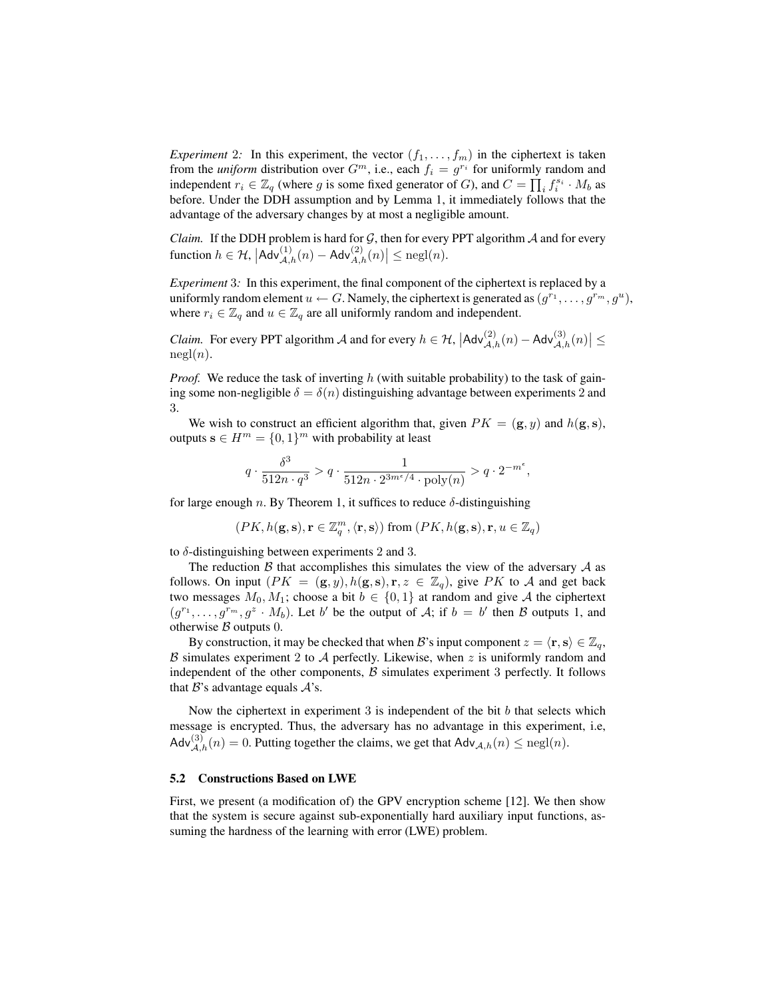*Experiment* 2*:* In this experiment, the vector  $(f_1, \ldots, f_m)$  in the ciphertext is taken from the *uniform* distribution over  $G^m$ , i.e., each  $f_i = g^{r_i}$  for uniformly random and independent  $r_i \in \mathbb{Z}_q$  (where g is some fixed generator of G), and  $C = \prod_i f_i^{s_i} \cdot M_b$  as before. Under the DDH assumption and by Lemma 1, it immediately follows that the advantage of the adversary changes by at most a negligible amount.

*Claim.* If the DDH problem is hard for  $G$ , then for every PPT algorithm  $A$  and for every function  $h \in \mathcal{H}$ ,  $|\mathsf{Adv}_{\mathcal{A},h}^{(1)}(n) - \mathsf{Adv}_{\mathcal{A},h}^{(2)}(n)| \leq \text{negl}(n)$ .

*Experiment* 3*:* In this experiment, the final component of the ciphertext is replaced by a uniformly random element  $u \leftarrow G$ . Namely, the ciphertext is generated as  $(g^{r_1}, \ldots, g^{r_m}, g^u)$ , where  $r_i \in \mathbb{Z}_q$  and  $u \in \mathbb{Z}_q$  are all uniformly random and independent.

*Claim.* For every PPT algorithm A and for every  $h \in H$ ,  $|Adv_{\mathcal{A},h}^{(2)}(n) - Adv_{\mathcal{A},h}^{(3)}(n)| \le$  $negl(n)$ .

*Proof.* We reduce the task of inverting h (with suitable probability) to the task of gaining some non-negligible  $\delta = \delta(n)$  distinguishing advantage between experiments 2 and 3.

We wish to construct an efficient algorithm that, given  $PK = (\mathbf{g}, y)$  and  $h(\mathbf{g}, \mathbf{s})$ , outputs  $\mathbf{s} \in H^m = \{0, 1\}^m$  with probability at least

$$
q \cdot \frac{\delta^3}{512n \cdot q^3} > q \cdot \frac{1}{512n \cdot 2^{3m^{\epsilon}/4} \cdot \text{poly}(n)} > q \cdot 2^{-m^{\epsilon}},
$$

for large enough n. By Theorem 1, it suffices to reduce  $\delta$ -distinguishing

$$
(PK, h(\mathbf{g}, \mathbf{s}), \mathbf{r} \in \mathbb{Z}_q^m, \langle \mathbf{r}, \mathbf{s} \rangle) \text{ from } (PK, h(\mathbf{g}, \mathbf{s}), \mathbf{r}, u \in \mathbb{Z}_q)
$$

to  $\delta$ -distinguishing between experiments 2 and 3.

The reduction  $\beta$  that accomplishes this simulates the view of the adversary  $\mathcal A$  as follows. On input  $(PK = (\mathbf{g}, y), h(\mathbf{g}, s), \mathbf{r}, z \in \mathbb{Z}_q)$ , give PK to A and get back two messages  $M_0, M_1$ ; choose a bit  $b \in \{0, 1\}$  at random and give A the ciphertext  $(g^{r_1}, \ldots, g^{r_m}, g^z \cdot M_b)$ . Let b' be the output of A; if  $b = b'$  then B outputs 1, and otherwise  $\beta$  outputs 0.

By construction, it may be checked that when B's input component  $z = \langle \mathbf{r}, \mathbf{s} \rangle \in \mathbb{Z}_q$ ,  $\beta$  simulates experiment 2 to  $\mathcal A$  perfectly. Likewise, when  $z$  is uniformly random and independent of the other components,  $\beta$  simulates experiment 3 perfectly. It follows that  $B$ 's advantage equals  $A$ 's.

Now the ciphertext in experiment 3 is independent of the bit  $b$  that selects which message is encrypted. Thus, the adversary has no advantage in this experiment, i.e, Adv $_{\mathcal{A},h}^{(3)}(n) = 0$ . Putting together the claims, we get that Adv $_{\mathcal{A},h}(n) \leq$  negl $(n)$ .

#### 5.2 Constructions Based on LWE

First, we present (a modification of) the GPV encryption scheme [12]. We then show that the system is secure against sub-exponentially hard auxiliary input functions, assuming the hardness of the learning with error (LWE) problem.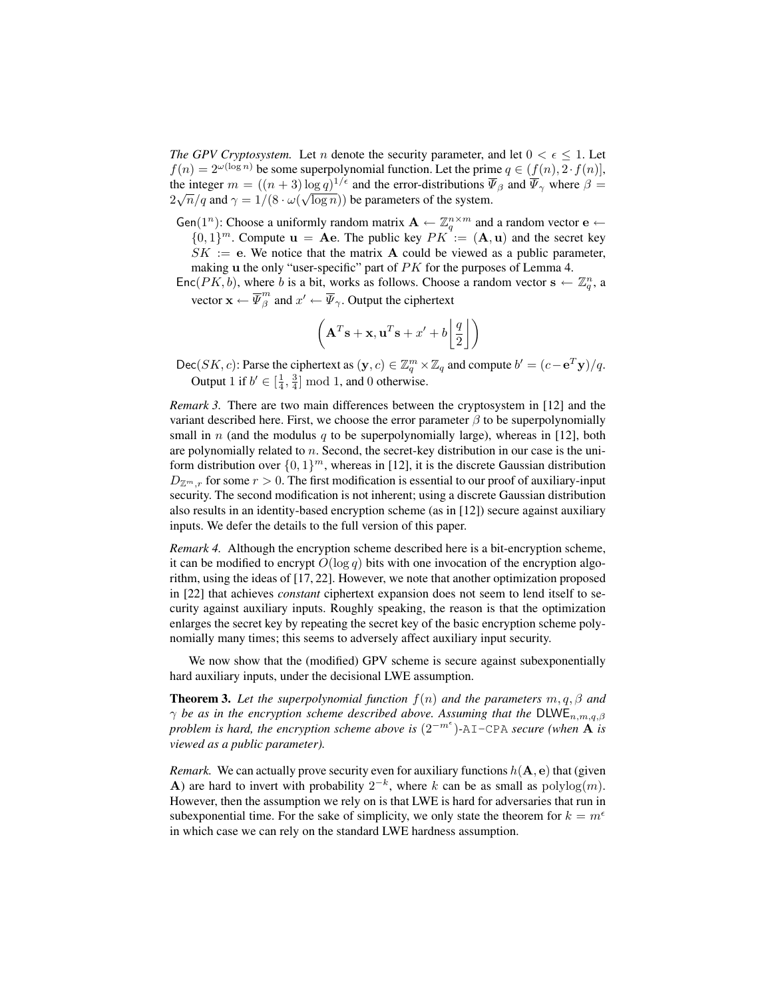*The GPV Cryptosystem.* Let *n* denote the security parameter, and let  $0 < \epsilon \leq 1$ . Let  $f(n) = 2^{\omega(\log n)}$  be some superpolynomial function. Let the prime  $q \in (f(n), 2 \cdot f(n)],$ the integer  $m = ((n + 3) \log q)^{1/\epsilon}$  and the error-distributions  $\overline{\Psi}_{\beta}$  and  $\overline{\Psi}_{\gamma}$  where  $\beta =$  $2\sqrt{n}/q$  and  $\gamma = 1/(8 \cdot \omega(\sqrt{\log n}))$  be parameters of the system.

Gen(1<sup>n</sup>): Choose a uniformly random matrix  $\mathbf{A} \leftarrow \mathbb{Z}_q^{n \times m}$  and a random vector  $\mathbf{e} \leftarrow$ 

 ${0,1}^m$ . Compute  $\mathbf{u} = \mathbf{A}\mathbf{e}$ . The public key  $PK := (\mathbf{A}, \mathbf{u})$  and the secret key

 $SK := e$ . We notice that the matrix A could be viewed as a public parameter, making **u** the only "user-specific" part of PK for the purposes of Lemma 4.

Enc $(PK, b)$ , where b is a bit, works as follows. Choose a random vector  $s \leftarrow \mathbb{Z}_q^n$ , a vector  $\mathbf{x} \leftarrow \overline{\Psi}_{\beta}^{m}$  $\frac{m}{\beta}$  and  $x' \leftarrow \overline{\Psi}_{\gamma}$ . Output the ciphertext

$$
\left(\mathbf{A}^T\mathbf{s} + \mathbf{x}, \mathbf{u}^T\mathbf{s} + x' + b\left\lfloor \frac{q}{2} \right\rfloor \right)
$$

Dec(SK, c): Parse the ciphertext as  $(y, c) \in \mathbb{Z}_q^m \times \mathbb{Z}_q$  and compute  $b' = (c - e^T y)/q$ . Output 1 if  $b' \in [\frac{1}{4}, \frac{3}{4}] \mod 1$ , and 0 otherwise.

*Remark 3.* There are two main differences between the cryptosystem in [12] and the variant described here. First, we choose the error parameter  $\beta$  to be superpolynomially small in n (and the modulus q to be superpolynomially large), whereas in [12], both are polynomially related to n. Second, the secret-key distribution in our case is the uniform distribution over  $\{0,1\}^m$ , whereas in [12], it is the discrete Gaussian distribution  $D_{\mathbb{Z}^m,r}$  for some  $r > 0$ . The first modification is essential to our proof of auxiliary-input security. The second modification is not inherent; using a discrete Gaussian distribution also results in an identity-based encryption scheme (as in [12]) secure against auxiliary inputs. We defer the details to the full version of this paper.

*Remark 4.* Although the encryption scheme described here is a bit-encryption scheme, it can be modified to encrypt  $O(\log q)$  bits with one invocation of the encryption algorithm, using the ideas of [17, 22]. However, we note that another optimization proposed in [22] that achieves *constant* ciphertext expansion does not seem to lend itself to security against auxiliary inputs. Roughly speaking, the reason is that the optimization enlarges the secret key by repeating the secret key of the basic encryption scheme polynomially many times; this seems to adversely affect auxiliary input security.

We now show that the (modified) GPV scheme is secure against subexponentially hard auxiliary inputs, under the decisional LWE assumption.

Theorem 3. *Let the superpolynomial function* f(n) *and the parameters* m, q, β *and*  $\gamma$  *be as in the encryption scheme described above. Assuming that the* DLWE<sub>n,m,q, $\beta$ </sub> *problem is hard, the encryption scheme above is* (2<sup>−</sup>m )*-*AI-CPA *secure (when* A *is viewed as a public parameter).*

*Remark.* We can actually prove security even for auxiliary functions  $h(A, e)$  that (given A) are hard to invert with probability  $2^{-k}$ , where k can be as small as  $\text{polylog}(m)$ . However, then the assumption we rely on is that LWE is hard for adversaries that run in subexponential time. For the sake of simplicity, we only state the theorem for  $k = m^{\epsilon}$ in which case we can rely on the standard LWE hardness assumption.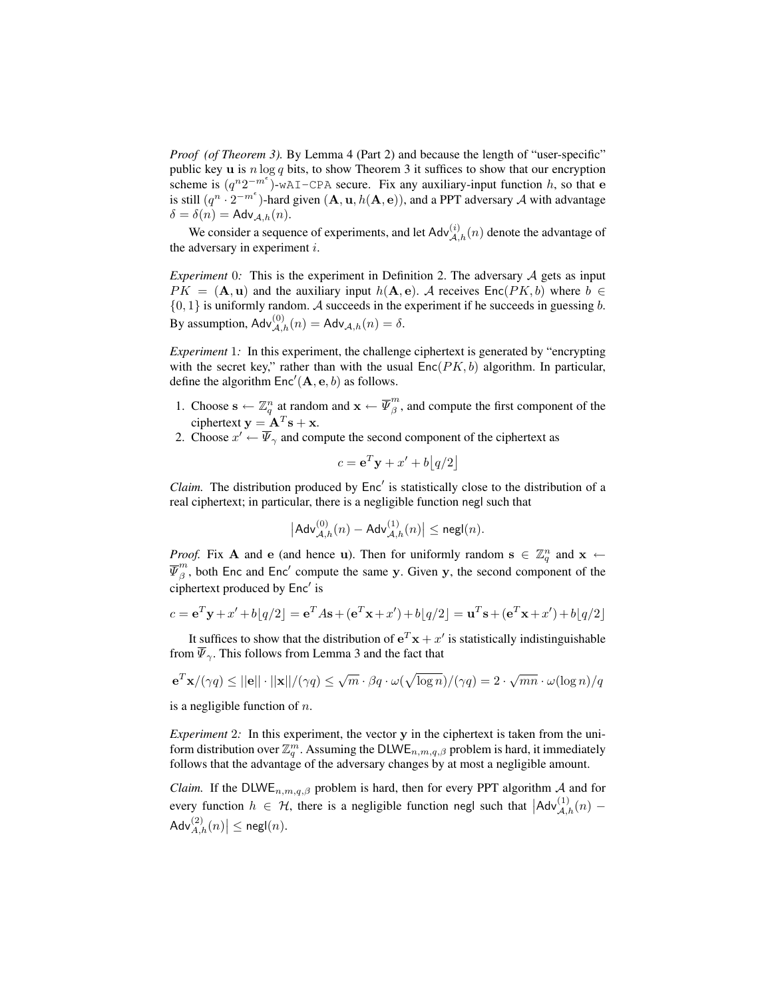*Proof (of Theorem 3).* By Lemma 4 (Part 2) and because the length of "user-specific" public key **u** is  $n \log q$  bits, to show Theorem 3 it suffices to show that our encryption scheme is  $(q^n 2^{-m^{\epsilon}})$ -wAI-CPA secure. Fix any auxiliary-input function h, so that e is still  $(q^n \cdot 2^{-m^{\epsilon}})$ -hard given  $(A, u, h(A, e))$ , and a PPT adversary A with advantage  $\delta = \delta(n) = \mathsf{Adv}_{A,h}(n).$ 

We consider a sequence of experiments, and let  $\mathsf{Adv}_{\mathcal{A},h}^{(i)}(n)$  denote the advantage of the adversary in experiment  $i$ .

*Experiment* 0*:* This is the experiment in Definition 2. The adversary  $\mathcal A$  gets as input  $PK = (\mathbf{A}, \mathbf{u})$  and the auxiliary input  $h(\mathbf{A}, \mathbf{e})$ . A receives  $Enc(PK, b)$  where  $b \in$  $\{0, 1\}$  is uniformly random. A succeeds in the experiment if he succeeds in guessing b. By assumption,  $\mathsf{Adv}_{\mathcal{A},h}^{(0)}(n) = \mathsf{Adv}_{\mathcal{A},h}(n) = \delta.$ 

*Experiment* 1*:* In this experiment, the challenge ciphertext is generated by "encrypting with the secret key," rather than with the usual  $Enc(PK, b)$  algorithm. In particular, define the algorithm  $Enc'(\mathbf{A}, \mathbf{e}, b)$  as follows.

- 1. Choose  $\mathbf{s} \leftarrow \mathbb{Z}_q^n$  at random and  $\mathbf{x} \leftarrow \overline{\Psi}_{\beta}^m$  $\int_{\beta}^{m}$ , and compute the first component of the ciphertext  $y = A<sup>T</sup>s + x$ .
- 2. Choose  $x' \leftarrow \overline{\Psi}_{\gamma}$  and compute the second component of the ciphertext as

$$
c = \mathbf{e}^T \mathbf{y} + x' + b|q/2|
$$

Claim. The distribution produced by Enc' is statistically close to the distribution of a real ciphertext; in particular, there is a negligible function negl such that

$$
\left|\mathsf{Adv}_{\mathcal{A},h}^{(0)}(n) - \mathsf{Adv}_{\mathcal{A},h}^{(1)}(n)\right| \le \mathsf{negl}(n).
$$

*Proof.* Fix **A** and **e** (and hence **u**). Then for uniformly random  $\mathbf{s} \in \mathbb{Z}_q^n$  and  $\mathbf{x} \leftarrow$  $\overline{\Psi}^m_{\beta}$  $\frac{m}{\beta}$ , both Enc and Enc' compute the same y. Given y, the second component of the ciphertext produced by Enc' is

$$
c = \mathbf{e}^T \mathbf{y} + x' + b\lfloor q/2 \rfloor = \mathbf{e}^T A \mathbf{s} + (\mathbf{e}^T \mathbf{x} + x') + b\lfloor q/2 \rfloor = \mathbf{u}^T \mathbf{s} + (\mathbf{e}^T \mathbf{x} + x') + b\lfloor q/2 \rfloor
$$

It suffices to show that the distribution of  $e^T x + x'$  is statistically indistinguishable from  $\overline{\Psi}_{\gamma}$ . This follows from Lemma 3 and the fact that

$$
\mathbf{e}^T \mathbf{x} / (\gamma q) \le ||\mathbf{e}|| \cdot ||\mathbf{x}|| / (\gamma q) \le \sqrt{m} \cdot \beta q \cdot \omega(\sqrt{\log n}) / (\gamma q) = 2 \cdot \sqrt{mn} \cdot \omega(\log n) / q
$$

is a negligible function of  $n$ .

*Experiment* 2*:* In this experiment, the vector y in the ciphertext is taken from the uniform distribution over  $\mathbb{Z}_q^m$ . Assuming the DLWE $_{n,m,q,\beta}$  problem is hard, it immediately follows that the advantage of the adversary changes by at most a negligible amount.

*Claim.* If the DLWE<sub>n,m,q, $\beta$  problem is hard, then for every PPT algorithm  $\mathcal A$  and for</sub> every function  $h \in \mathcal{H}$ , there is a negligible function negl such that  $|{\sf Adv}_{\mathcal{A},h}^{(1)}(n) \mathsf{Adv}_{A,h}^{(2)}(n) \big| \le \mathsf{negl}(n).$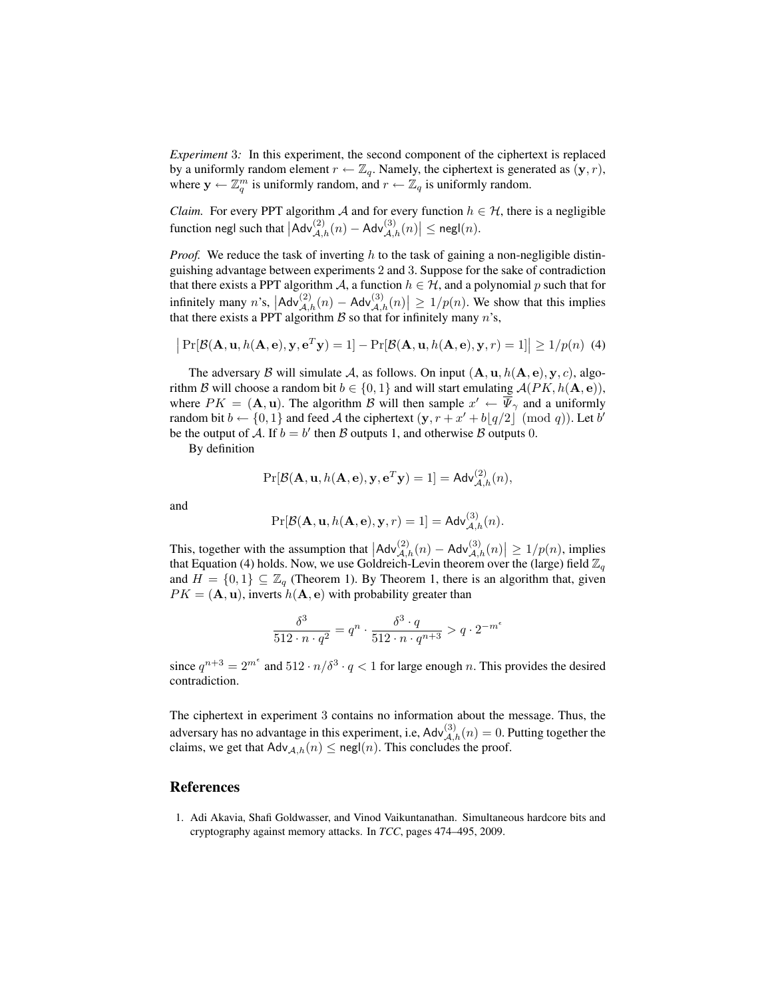*Experiment* 3*:* In this experiment, the second component of the ciphertext is replaced by a uniformly random element  $r \leftarrow \mathbb{Z}_q$ . Namely, the ciphertext is generated as  $(\mathbf{y}, r)$ , where  $y \leftarrow \mathbb{Z}_q^m$  is uniformly random, and  $r \leftarrow \mathbb{Z}_q$  is uniformly random.

*Claim.* For every PPT algorithm A and for every function  $h \in \mathcal{H}$ , there is a negligible function negl such that  $\left|\mathsf{Adv}_{\mathcal{A},h}^{(2)}(n) - \mathsf{Adv}_{\mathcal{A},h}^{(3)}(n)\right| \le \mathsf{negl}(n)$ .

*Proof.* We reduce the task of inverting h to the task of gaining a non-negligible distinguishing advantage between experiments 2 and 3. Suppose for the sake of contradiction that there exists a PPT algorithm A, a function  $h \in H$ , and a polynomial p such that for infinitely many  $n$ 's,  $|Adv_{\mathcal{A},h}^{(2)}(n) - Adv_{\mathcal{A},h}^{(3)}(n)| \ge 1/p(n)$ . We show that this implies that there exists a PPT algorithm  $\beta$  so that for infinitely many n's,

$$
\left| \Pr[\mathcal{B}(\mathbf{A}, \mathbf{u}, h(\mathbf{A}, \mathbf{e}), \mathbf{y}, \mathbf{e}^T \mathbf{y}) = 1] - \Pr[\mathcal{B}(\mathbf{A}, \mathbf{u}, h(\mathbf{A}, \mathbf{e}), \mathbf{y}, r) = 1] \right| \ge 1/p(n)
$$
 (4)

The adversary  $\beta$  will simulate  $\mathcal{A}$ , as follows. On input  $(\mathbf{A}, \mathbf{u}, h(\mathbf{A}, \mathbf{e}), \mathbf{y}, c)$ , algorithm B will choose a random bit  $b \in \{0, 1\}$  and will start emulating  $\mathcal{A}(PK, h(\mathbf{A}, \mathbf{e}))$ , where  $PK = (\mathbf{A}, \mathbf{u})$ . The algorithm B will then sample  $x' \leftarrow \overline{\Psi}_{\gamma}$  and a uniformly random bit  $b \leftarrow \{0, 1\}$  and feed A the ciphertext  $(\mathbf{y}, r + x' + b\lfloor q/2 \rfloor \pmod{q}$ . Let b' be the output of A. If  $b = b'$  then B outputs 1, and otherwise B outputs 0.

By definition

$$
\Pr[\mathcal{B}(\mathbf{A}, \mathbf{u}, h(\mathbf{A}, \mathbf{e}), \mathbf{y}, \mathbf{e}^T \mathbf{y}) = 1] = \mathsf{Adv}_{\mathcal{A},h}^{(2)}(n),
$$

and

$$
\Pr[\mathcal{B}(\mathbf{A}, \mathbf{u}, h(\mathbf{A}, \mathbf{e}), \mathbf{y}, r) = 1] = \mathsf{Adv}_{\mathcal{A},h}^{(3)}(n).
$$

This, together with the assumption that  $|Adv_{\mathcal{A},h}^{(2)}(n) - Adv_{\mathcal{A},h}^{(3)}(n)| \ge 1/p(n)$ , implies that Equation (4) holds. Now, we use Goldreich-Levin theorem over the (large) field  $\mathbb{Z}_q$ and  $H = \{0, 1\} \subseteq \mathbb{Z}_q$  (Theorem 1). By Theorem 1, there is an algorithm that, given  $PK = (**A**, **u**),$  inverts  $h(**A**, **e**)$  with probability greater than

$$
\frac{\delta^3}{512 \cdot n \cdot q^2} = q^n \cdot \frac{\delta^3 \cdot q}{512 \cdot n \cdot q^{n+3}} > q \cdot 2^{-m^{\epsilon}}
$$

since  $q^{n+3} = 2^{m^e}$  and  $512 \cdot n/\delta^3 \cdot q < 1$  for large enough n. This provides the desired contradiction.

The ciphertext in experiment 3 contains no information about the message. Thus, the adversary has no advantage in this experiment, i.e,  $\mathsf{Adv}_{\mathcal{A},h}^{(3)}(n) = 0$ . Putting together the claims, we get that  $\mathsf{Adv}_{\mathcal{A},h}(n) \leq \mathsf{negl}(n)$ . This concludes the proof.

## References

1. Adi Akavia, Shafi Goldwasser, and Vinod Vaikuntanathan. Simultaneous hardcore bits and cryptography against memory attacks. In *TCC*, pages 474–495, 2009.